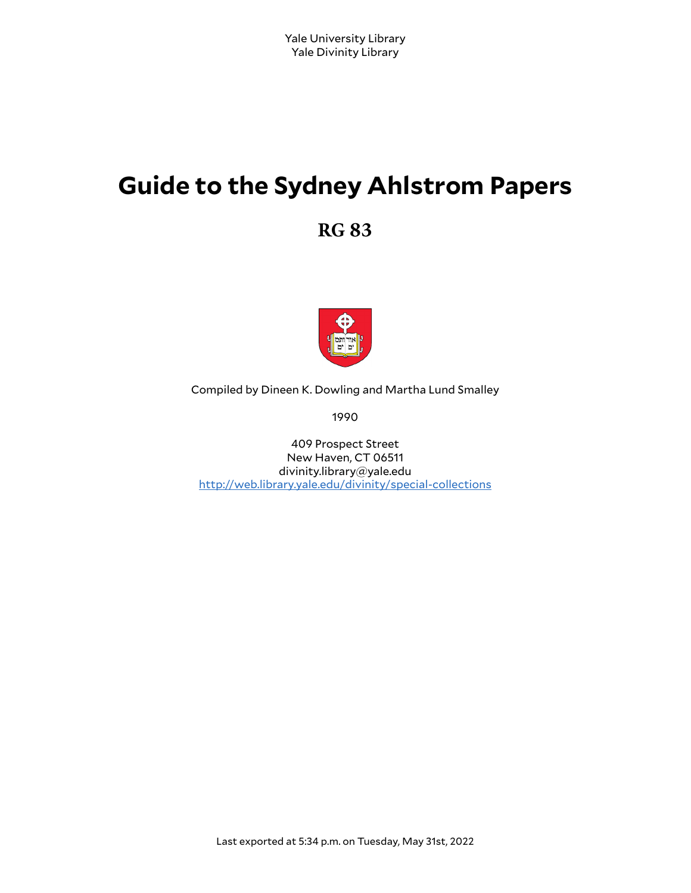# **Guide to the Sydney Ahlstrom Papers**

**RG 83**



Compiled by Dineen K. Dowling and Martha Lund Smalley

1990

409 Prospect Street New Haven, CT 06511 divinity.library@yale.edu <http://web.library.yale.edu/divinity/special-collections>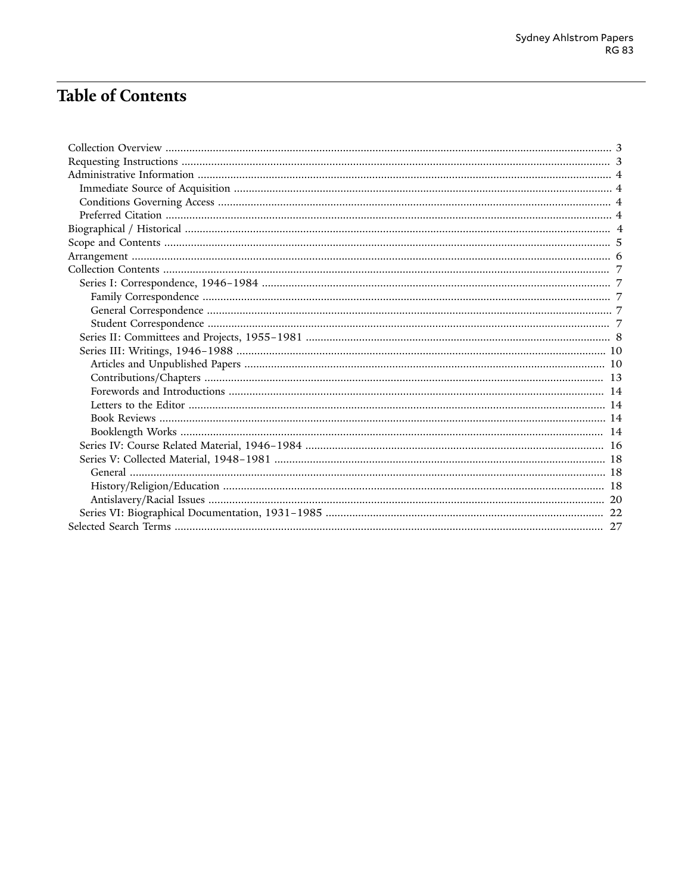# **Table of Contents**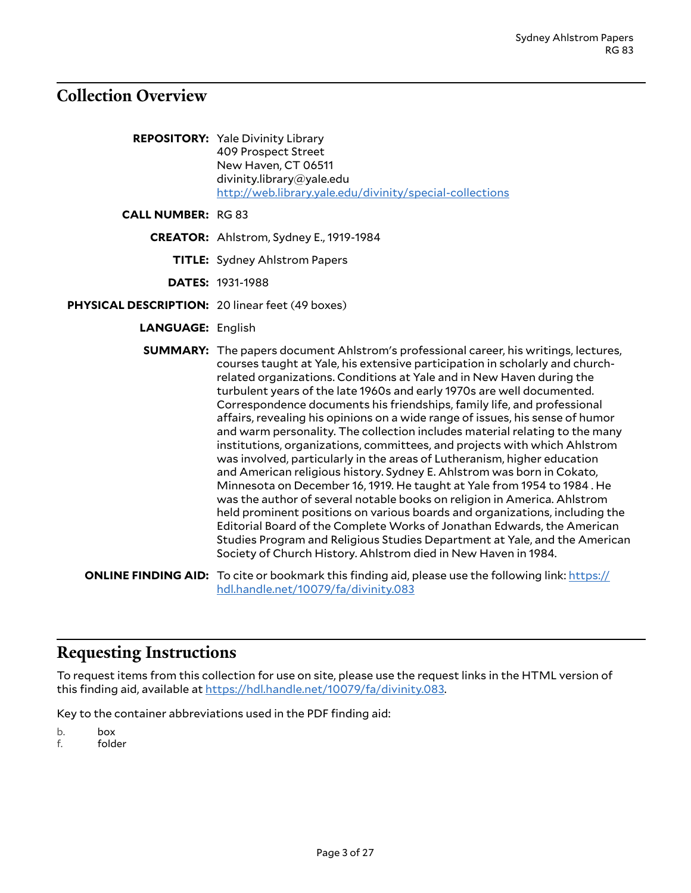# <span id="page-2-0"></span>**Collection Overview**

| <b>REPOSITORY:</b> Yale Divinity Library                 |
|----------------------------------------------------------|
| 409 Prospect Street                                      |
| New Haven, CT 06511                                      |
| divinity.library@yale.edu                                |
| http://web.library.yale.edu/divinity/special-collections |

#### **CALL NUMBER:** RG 83

- **CREATOR:** Ahlstrom, Sydney E., 1919-1984
	- **TITLE:** Sydney Ahlstrom Papers
	- **DATES:** 1931-1988
- **PHYSICAL DESCRIPTION:** 20 linear feet (49 boxes)
	- **LANGUAGE:** English
	- **SUMMARY:** The papers document Ahlstrom's professional career, his writings, lectures, courses taught at Yale, his extensive participation in scholarly and churchrelated organizations. Conditions at Yale and in New Haven during the turbulent years of the late 1960s and early 1970s are well documented. Correspondence documents his friendships, family life, and professional affairs, revealing his opinions on a wide range of issues, his sense of humor and warm personality. The collection includes material relating to the many institutions, organizations, committees, and projects with which Ahlstrom was involved, particularly in the areas of Lutheranism, higher education and American religious history. Sydney E. Ahlstrom was born in Cokato, Minnesota on December 16, 1919. He taught at Yale from 1954 to 1984 . He was the author of several notable books on religion in America. Ahlstrom held prominent positions on various boards and organizations, including the Editorial Board of the Complete Works of Jonathan Edwards, the American Studies Program and Religious Studies Department at Yale, and the American Society of Church History. Ahlstrom died in New Haven in 1984.
	- **ONLINE FINDING AID:** To cite or bookmark this finding aid, please use the following link: [https://](https://hdl.handle.net/10079/fa/divinity.083) [hdl.handle.net/10079/fa/divinity.083](https://hdl.handle.net/10079/fa/divinity.083)

# <span id="page-2-1"></span>**Requesting Instructions**

To request items from this collection for use on site, please use the request links in the HTML version of this finding aid, available at [https://hdl.handle.net/10079/fa/divinity.083.](https://hdl.handle.net/10079/fa/divinity.083)

Key to the container abbreviations used in the PDF finding aid:

b. box

f. folder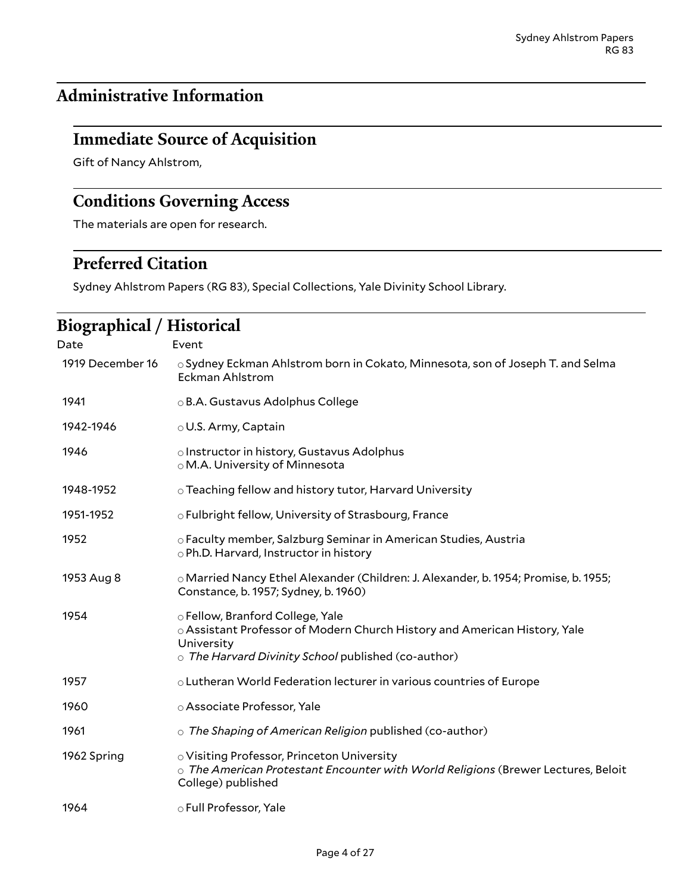# <span id="page-3-0"></span>**Administrative Information**

# <span id="page-3-1"></span>**Immediate Source of Acquisition**

Gift of Nancy Ahlstrom,

# <span id="page-3-2"></span>**Conditions Governing Access**

The materials are open for research.

# <span id="page-3-3"></span>**Preferred Citation**

Sydney Ahlstrom Papers (RG 83), Special Collections, Yale Divinity School Library.

# <span id="page-3-4"></span>**Biographical / Historical**

| Date             | Event                                                                                                                                                                              |
|------------------|------------------------------------------------------------------------------------------------------------------------------------------------------------------------------------|
| 1919 December 16 | ○ Sydney Eckman Ahlstrom born in Cokato, Minnesota, son of Joseph T. and Selma<br><b>Eckman Ahlstrom</b>                                                                           |
| 1941             | ○ B.A. Gustavus Adolphus College                                                                                                                                                   |
| 1942-1946        | $\circ$ U.S. Army, Captain                                                                                                                                                         |
| 1946             | o Instructor in history, Gustavus Adolphus<br>○ M.A. University of Minnesota                                                                                                       |
| 1948-1952        | $\circ$ Teaching fellow and history tutor, Harvard University                                                                                                                      |
| 1951-1952        | o Fulbright fellow, University of Strasbourg, France                                                                                                                               |
| 1952             | o Faculty member, Salzburg Seminar in American Studies, Austria<br>o Ph.D. Harvard, Instructor in history                                                                          |
| 1953 Aug 8       | o Married Nancy Ethel Alexander (Children: J. Alexander, b. 1954; Promise, b. 1955;<br>Constance, b. 1957; Sydney, b. 1960)                                                        |
| 1954             | o Fellow, Branford College, Yale<br>○ Assistant Professor of Modern Church History and American History, Yale<br>University<br>o The Harvard Divinity School published (co-author) |
| 1957             | o Lutheran World Federation lecturer in various countries of Europe                                                                                                                |
| 1960             | o Associate Professor, Yale                                                                                                                                                        |
| 1961             | $\circ$ The Shaping of American Religion published (co-author)                                                                                                                     |
| 1962 Spring      | o Visiting Professor, Princeton University<br>$\circ$ The American Protestant Encounter with World Religions (Brewer Lectures, Beloit<br>College) published                        |
| 1964             | o Full Professor, Yale                                                                                                                                                             |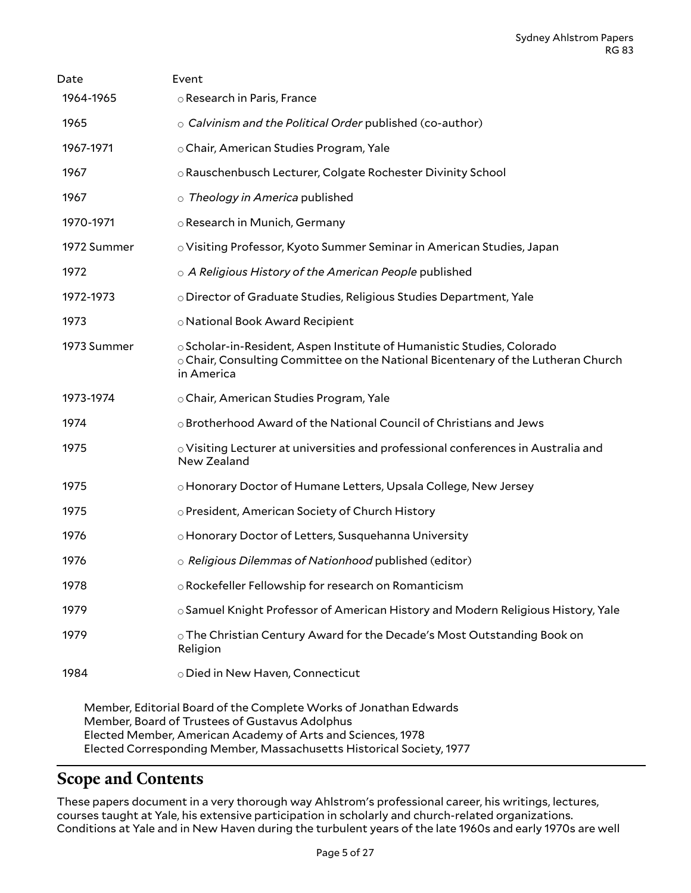| Date        | Event                                                                                                                                                                          |
|-------------|--------------------------------------------------------------------------------------------------------------------------------------------------------------------------------|
| 1964-1965   | ○ Research in Paris, France                                                                                                                                                    |
| 1965        | $\circ$ Calvinism and the Political Order published (co-author)                                                                                                                |
| 1967-1971   | ○ Chair, American Studies Program, Yale                                                                                                                                        |
| 1967        | o Rauschenbusch Lecturer, Colgate Rochester Divinity School                                                                                                                    |
| 1967        | o Theology in America published                                                                                                                                                |
| 1970-1971   | o Research in Munich, Germany                                                                                                                                                  |
| 1972 Summer | o Visiting Professor, Kyoto Summer Seminar in American Studies, Japan                                                                                                          |
| 1972        | o A Religious History of the American People published                                                                                                                         |
| 1972-1973   | o Director of Graduate Studies, Religious Studies Department, Yale                                                                                                             |
| 1973        | o National Book Award Recipient                                                                                                                                                |
| 1973 Summer | $\circ$ Scholar-in-Resident, Aspen Institute of Humanistic Studies, Colorado<br>○ Chair, Consulting Committee on the National Bicentenary of the Lutheran Church<br>in America |
| 1973-1974   | ○ Chair, American Studies Program, Yale                                                                                                                                        |
| 1974        | o Brotherhood Award of the National Council of Christians and Jews                                                                                                             |
| 1975        | $\circ$ Visiting Lecturer at universities and professional conferences in Australia and<br>New Zealand                                                                         |
| 1975        | o Honorary Doctor of Humane Letters, Upsala College, New Jersey                                                                                                                |
| 1975        | o President, American Society of Church History                                                                                                                                |
| 1976        | o Honorary Doctor of Letters, Susquehanna University                                                                                                                           |
| 1976        | o Religious Dilemmas of Nationhood published (editor)                                                                                                                          |
| 1978        | o Rockefeller Fellowship for research on Romanticism                                                                                                                           |
| 1979        | $\circ$ Samuel Knight Professor of American History and Modern Religious History, Yale                                                                                         |
| 1979        | ○ The Christian Century Award for the Decade's Most Outstanding Book on<br>Religion                                                                                            |
| 1984        | o Died in New Haven, Connecticut                                                                                                                                               |
|             | Mambor Editorial Board of the Complete Warle of Jonathan Edwards                                                                                                               |

Member, Editorial Board of the Complete Works of Jonathan Edwards Member, Board of Trustees of Gustavus Adolphus Elected Member, American Academy of Arts and Sciences, 1978 Elected Corresponding Member, Massachusetts Historical Society, 1977

# <span id="page-4-0"></span>**Scope and Contents**

These papers document in a very thorough way Ahlstrom's professional career, his writings, lectures, courses taught at Yale, his extensive participation in scholarly and church-related organizations. Conditions at Yale and in New Haven during the turbulent years of the late 1960s and early 1970s are well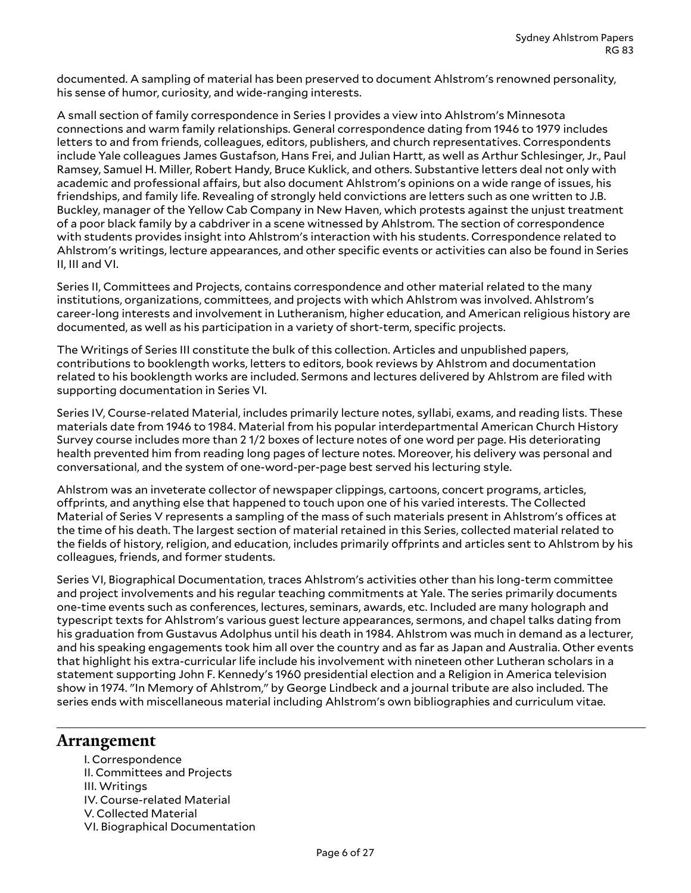documented. A sampling of material has been preserved to document Ahlstrom's renowned personality, his sense of humor, curiosity, and wide-ranging interests.

A small section of family correspondence in Series I provides a view into Ahlstrom's Minnesota connections and warm family relationships. General correspondence dating from 1946 to 1979 includes letters to and from friends, colleagues, editors, publishers, and church representatives. Correspondents include Yale colleagues James Gustafson, Hans Frei, and Julian Hartt, as well as Arthur Schlesinger, Jr., Paul Ramsey, Samuel H. Miller, Robert Handy, Bruce Kuklick, and others. Substantive letters deal not only with academic and professional affairs, but also document Ahlstrom's opinions on a wide range of issues, his friendships, and family life. Revealing of strongly held convictions are letters such as one written to J.B. Buckley, manager of the Yellow Cab Company in New Haven, which protests against the unjust treatment of a poor black family by a cabdriver in a scene witnessed by Ahlstrom. The section of correspondence with students provides insight into Ahlstrom's interaction with his students. Correspondence related to Ahlstrom's writings, lecture appearances, and other specific events or activities can also be found in Series II, III and VI.

Series II, Committees and Projects, contains correspondence and other material related to the many institutions, organizations, committees, and projects with which Ahlstrom was involved. Ahlstrom's career-long interests and involvement in Lutheranism, higher education, and American religious history are documented, as well as his participation in a variety of short-term, specific projects.

The Writings of Series III constitute the bulk of this collection. Articles and unpublished papers, contributions to booklength works, letters to editors, book reviews by Ahlstrom and documentation related to his booklength works are included. Sermons and lectures delivered by Ahlstrom are filed with supporting documentation in Series VI.

Series IV, Course-related Material, includes primarily lecture notes, syllabi, exams, and reading lists. These materials date from 1946 to 1984. Material from his popular interdepartmental American Church History Survey course includes more than 2 1/2 boxes of lecture notes of one word per page. His deteriorating health prevented him from reading long pages of lecture notes. Moreover, his delivery was personal and conversational, and the system of one-word-per-page best served his lecturing style.

Ahlstrom was an inveterate collector of newspaper clippings, cartoons, concert programs, articles, offprints, and anything else that happened to touch upon one of his varied interests. The Collected Material of Series V represents a sampling of the mass of such materials present in Ahlstrom's offices at the time of his death. The largest section of material retained in this Series, collected material related to the fields of history, religion, and education, includes primarily offprints and articles sent to Ahlstrom by his colleagues, friends, and former students.

Series VI, Biographical Documentation, traces Ahlstrom's activities other than his long-term committee and project involvements and his regular teaching commitments at Yale. The series primarily documents one-time events such as conferences, lectures, seminars, awards, etc. Included are many holograph and typescript texts for Ahlstrom's various guest lecture appearances, sermons, and chapel talks dating from his graduation from Gustavus Adolphus until his death in 1984. Ahlstrom was much in demand as a lecturer, and his speaking engagements took him all over the country and as far as Japan and Australia. Other events that highlight his extra-curricular life include his involvement with nineteen other Lutheran scholars in a statement supporting John F. Kennedy's 1960 presidential election and a Religion in America television show in 1974. "In Memory of Ahlstrom," by George Lindbeck and a journal tribute are also included. The series ends with miscellaneous material including Ahlstrom's own bibliographies and curriculum vitae.

### <span id="page-5-0"></span>**Arrangement**

I. Correspondence II. Committees and Projects III. Writings IV. Course-related Material V. Collected Material VI. Biographical Documentation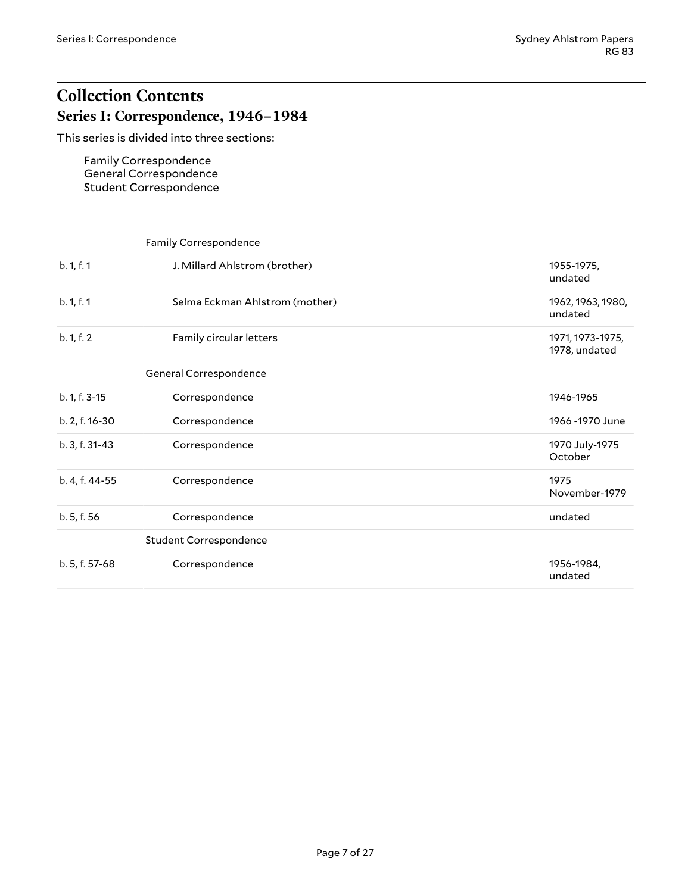# <span id="page-6-1"></span><span id="page-6-0"></span>**Collection Contents Series I: Correspondence, 1946–1984**

This series is divided into three sections:

Family Correspondence General Correspondence Student Correspondence

# <span id="page-6-4"></span><span id="page-6-3"></span><span id="page-6-2"></span>Family Correspondence b. 1, f. 1 J. Millard Ahlstrom (brother) 1955-1975, undated b. 1, f. 1 Selma Eckman Ahlstrom (mother) 1962, 1963, 1980, undated b. 1, f. 2 Family circular letters 1971, 1973-1975, 1978, undated General Correspondence b. 1, f. 3-15 Correspondence 1946-1965 b. 2, f. 16-30 Correspondence 1966 -1970 June b. 3, f. 31-43 Correspondence 1970 July-1975 October b. 4, f. 44-55 Correspondence 1975 November-1979 b. 5, f. 56 Correspondence **Communication** Constants Communication Constants Communication Communication Communication Communication Communication Communication Communication Communication Communication Communication Commu Student Correspondence b. 5, f. 57-68 Correspondence **1956-1984**, undated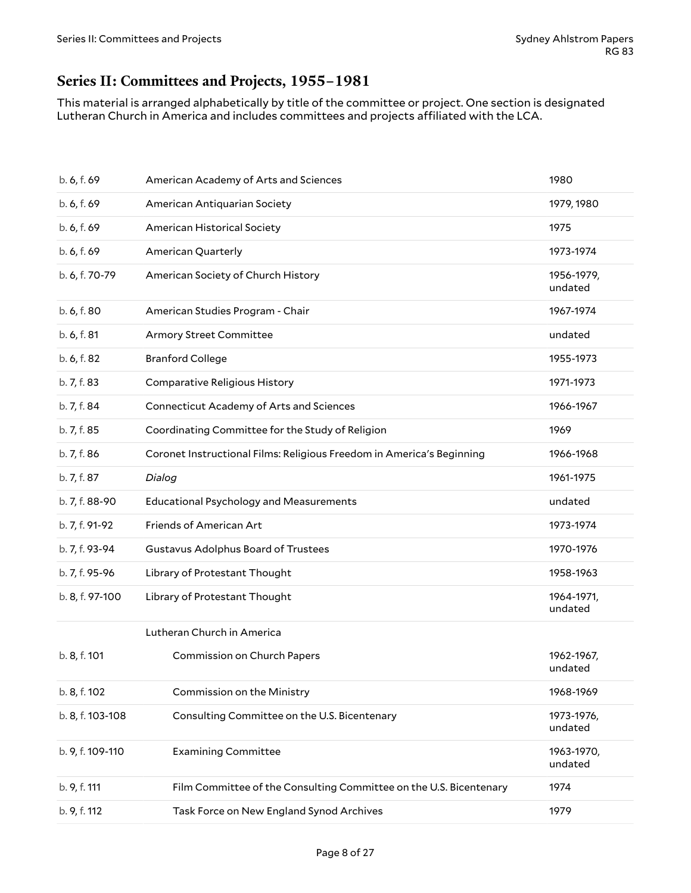# <span id="page-7-0"></span>**Series II: Committees and Projects, 1955–1981**

This material is arranged alphabetically by title of the committee or project. One section is designated Lutheran Church in America and includes committees and projects affiliated with the LCA.

| b. 6, f. 69      | American Academy of Arts and Sciences                                 | 1980                  |
|------------------|-----------------------------------------------------------------------|-----------------------|
| b. 6, f. 69      | American Antiquarian Society                                          | 1979, 1980            |
| b. 6, f. 69      | American Historical Society                                           | 1975                  |
| b. 6, f. 69      | American Quarterly                                                    | 1973-1974             |
| b. 6, f. 70-79   | American Society of Church History                                    | 1956-1979,<br>undated |
| b. 6, f. 80      | American Studies Program - Chair                                      | 1967-1974             |
| b. 6, f. 81      | Armory Street Committee                                               | undated               |
| b. 6, f. 82      | <b>Branford College</b>                                               | 1955-1973             |
| b. 7, f. 83      | Comparative Religious History                                         | 1971-1973             |
| b. 7, f. 84      | <b>Connecticut Academy of Arts and Sciences</b>                       | 1966-1967             |
| b. 7, f. 85      | Coordinating Committee for the Study of Religion                      | 1969                  |
| b. 7, f. 86      | Coronet Instructional Films: Religious Freedom in America's Beginning | 1966-1968             |
| b. 7, f. 87      | Dialog                                                                | 1961-1975             |
| b. 7, f. 88-90   | <b>Educational Psychology and Measurements</b>                        | undated               |
| b. 7, f. 91-92   | Friends of American Art                                               | 1973-1974             |
| b. 7, f. 93-94   | Gustavus Adolphus Board of Trustees                                   | 1970-1976             |
| b. 7, f. 95-96   | Library of Protestant Thought                                         | 1958-1963             |
| b. 8, f. 97-100  | Library of Protestant Thought                                         | 1964-1971,<br>undated |
|                  | Lutheran Church in America                                            |                       |
| b. 8, f. 101     | Commission on Church Papers                                           | 1962-1967,<br>undated |
| b. 8, f. 102     | Commission on the Ministry                                            | 1968-1969             |
| b. 8, f. 103-108 | Consulting Committee on the U.S. Bicentenary                          | 1973-1976,<br>undated |
| b. 9, f. 109-110 | <b>Examining Committee</b>                                            | 1963-1970,<br>undated |
| b. 9, f. 111     | Film Committee of the Consulting Committee on the U.S. Bicentenary    | 1974                  |
| b. 9, f. 112     | Task Force on New England Synod Archives                              | 1979                  |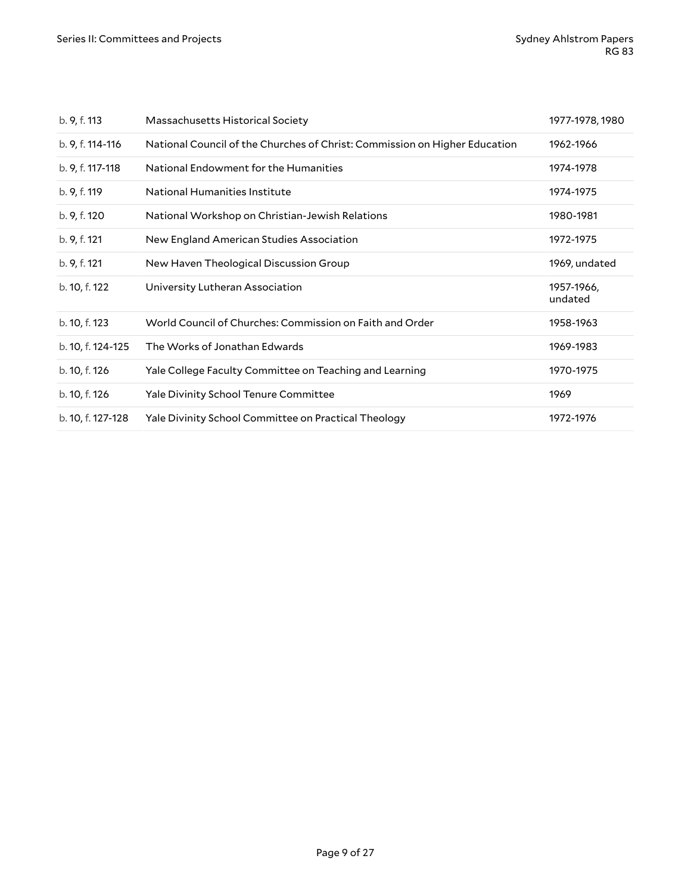| b. 9, f. 113      | Massachusetts Historical Society                                           | 1977-1978, 1980       |
|-------------------|----------------------------------------------------------------------------|-----------------------|
| b. 9, f. 114-116  | National Council of the Churches of Christ: Commission on Higher Education | 1962-1966             |
| b. 9, f. 117-118  | National Endowment for the Humanities                                      | 1974-1978             |
| b. 9, f. 119      | National Humanities Institute                                              | 1974-1975             |
| b. 9, f. 120      | National Workshop on Christian-Jewish Relations                            | 1980-1981             |
| b. 9, f. 121      | New England American Studies Association                                   | 1972-1975             |
| b. 9, f. 121      | New Haven Theological Discussion Group                                     | 1969, undated         |
| b. 10, f. 122     | University Lutheran Association                                            | 1957-1966,<br>undated |
| b. 10, f. 123     | World Council of Churches: Commission on Faith and Order                   | 1958-1963             |
| b. 10, f. 124-125 | The Works of Jonathan Edwards                                              | 1969-1983             |
| b. 10, f. 126     | Yale College Faculty Committee on Teaching and Learning                    | 1970-1975             |
| b. 10, f. 126     | <b>Yale Divinity School Tenure Committee</b>                               | 1969                  |
| b. 10, f. 127-128 | Yale Divinity School Committee on Practical Theology                       | 1972-1976             |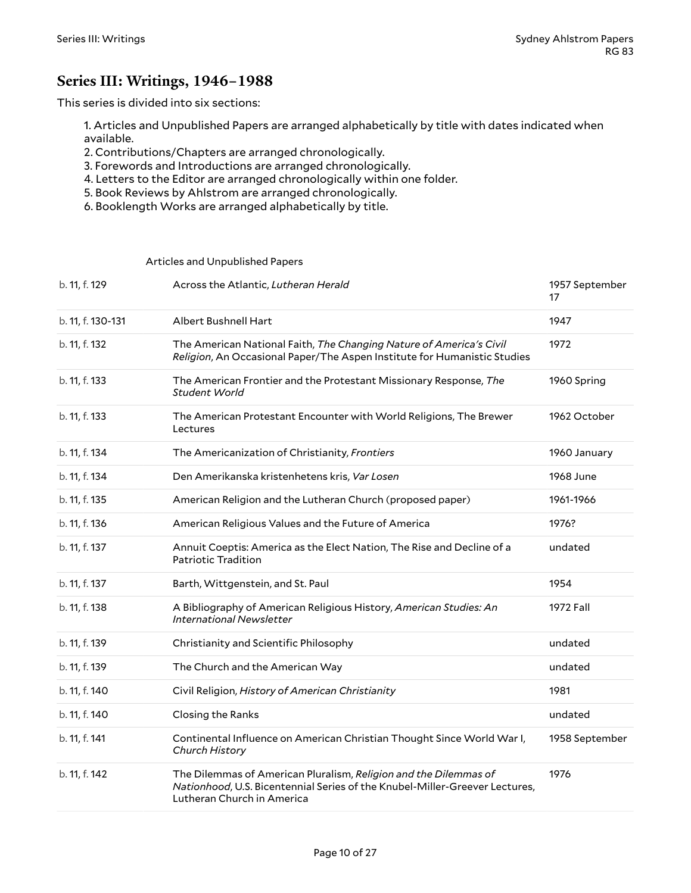### <span id="page-9-0"></span>**Series III: Writings, 1946–1988**

This series is divided into six sections:

1. Articles and Unpublished Papers are arranged alphabetically by title with dates indicated when available.

- 2. Contributions/Chapters are arranged chronologically.
- 3. Forewords and Introductions are arranged chronologically.
- 4. Letters to the Editor are arranged chronologically within one folder.
- 5. Book Reviews by Ahlstrom are arranged chronologically.
- 6. Booklength Works are arranged alphabetically by title.

#### <span id="page-9-1"></span>Articles and Unpublished Papers

| b. 11, f. 129     | Across the Atlantic, Lutheran Herald                                                                                                                                          | 1957 September<br>17 |
|-------------------|-------------------------------------------------------------------------------------------------------------------------------------------------------------------------------|----------------------|
| b. 11, f. 130-131 | Albert Bushnell Hart                                                                                                                                                          | 1947                 |
| b. 11, f. 132     | The American National Faith, The Changing Nature of America's Civil<br>Religion, An Occasional Paper/The Aspen Institute for Humanistic Studies                               | 1972                 |
| b. 11, f. 133     | The American Frontier and the Protestant Missionary Response, The<br>Student World                                                                                            | 1960 Spring          |
| b. 11, f. 133     | The American Protestant Encounter with World Religions, The Brewer<br>Lectures                                                                                                | 1962 October         |
| b. 11, f. 134     | The Americanization of Christianity, Frontiers                                                                                                                                | 1960 January         |
| b. 11, f. 134     | Den Amerikanska kristenhetens kris, Var Losen                                                                                                                                 | 1968 June            |
| b. 11, f. 135     | American Religion and the Lutheran Church (proposed paper)                                                                                                                    | 1961-1966            |
| b. 11, f. 136     | American Religious Values and the Future of America                                                                                                                           | 1976?                |
| b. 11, f. 137     | Annuit Coeptis: America as the Elect Nation, The Rise and Decline of a<br>Patriotic Tradition                                                                                 | undated              |
| b. 11, f. 137     | Barth, Wittgenstein, and St. Paul                                                                                                                                             | 1954                 |
| b. 11, f. 138     | A Bibliography of American Religious History, American Studies: An<br>International Newsletter                                                                                | 1972 Fall            |
| b. 11, f. 139     | Christianity and Scientific Philosophy                                                                                                                                        | undated              |
| b. 11, f. 139     | The Church and the American Way                                                                                                                                               | undated              |
| b. 11, f. 140     | Civil Religion, History of American Christianity                                                                                                                              | 1981                 |
| b. 11, f. 140     | Closing the Ranks                                                                                                                                                             | undated              |
| b. 11, f. 141     | Continental Influence on American Christian Thought Since World War I,<br>Church History                                                                                      | 1958 September       |
| b. 11, f. 142     | The Dilemmas of American Pluralism, Religion and the Dilemmas of<br>Nationhood, U.S. Bicentennial Series of the Knubel-Miller-Greever Lectures,<br>Lutheran Church in America | 1976                 |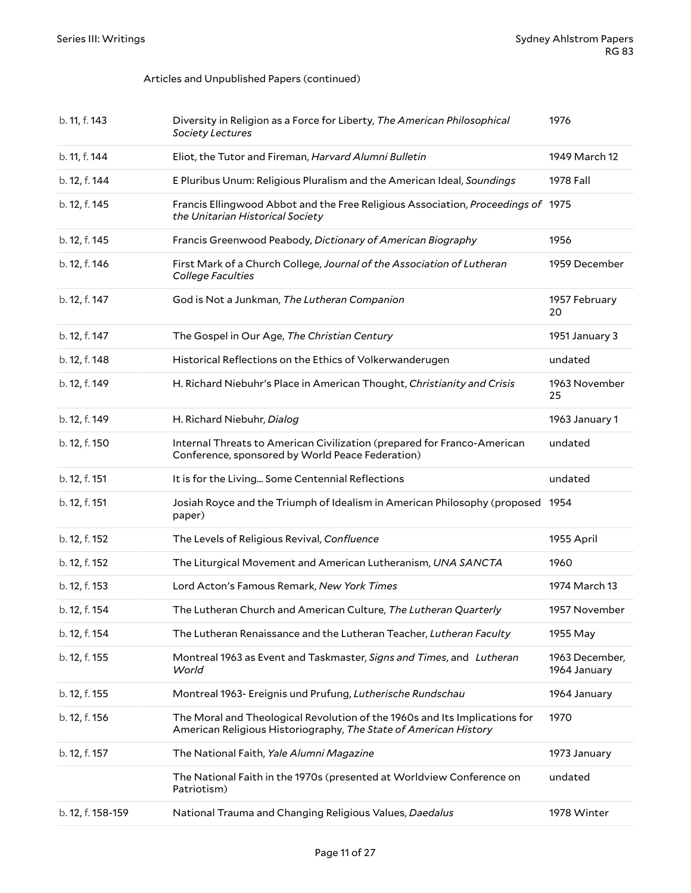#### Articles and Unpublished Papers (continued)

| b. 11, f. 143 | Diversity in Religion as a Force for Liberty, The American Philosophical<br>Society Lectures                                                   | 1976                           |
|---------------|------------------------------------------------------------------------------------------------------------------------------------------------|--------------------------------|
| b. 11, f. 144 | Eliot, the Tutor and Fireman, Harvard Alumni Bulletin                                                                                          | 1949 March 12                  |
| b. 12, f. 144 | E Pluribus Unum: Religious Pluralism and the American Ideal, Soundings                                                                         | 1978 Fall                      |
| b. 12, f. 145 | Francis Ellingwood Abbot and the Free Religious Association, Proceedings of 1975<br>the Unitarian Historical Society                           |                                |
| b. 12, f. 145 | Francis Greenwood Peabody, Dictionary of American Biography                                                                                    | 1956                           |
| b. 12, f. 146 | First Mark of a Church College, Journal of the Association of Lutheran<br>College Faculties                                                    | 1959 December                  |
| b. 12, f. 147 | God is Not a Junkman, The Lutheran Companion                                                                                                   | 1957 February<br>20            |
| b. 12, f. 147 | The Gospel in Our Age, The Christian Century                                                                                                   | 1951 January 3                 |
| b. 12, f. 148 | Historical Reflections on the Ethics of Volkerwanderugen                                                                                       | undated                        |
| b. 12, f. 149 | H. Richard Niebuhr's Place in American Thought, Christianity and Crisis                                                                        | 1963 November<br>25            |
| b. 12, f. 149 | H. Richard Niebuhr, Dialog                                                                                                                     | 1963 January 1                 |
| b. 12, f. 150 | Internal Threats to American Civilization (prepared for Franco-American<br>Conference, sponsored by World Peace Federation)                    | undated                        |
|               |                                                                                                                                                |                                |
| b. 12, f. 151 | It is for the Living Some Centennial Reflections                                                                                               | undated                        |
| b. 12, f. 151 | Josiah Royce and the Triumph of Idealism in American Philosophy (proposed<br>paper)                                                            | 1954                           |
| b. 12, f. 152 | The Levels of Religious Revival, Confluence                                                                                                    | 1955 April                     |
| b. 12, f. 152 | The Liturgical Movement and American Lutheranism, UNA SANCTA                                                                                   | 1960                           |
| b. 12, f. 153 | Lord Acton's Famous Remark, New York Times                                                                                                     | 1974 March 13                  |
| b. 12, f. 154 | The Lutheran Church and American Culture, The Lutheran Quarterly                                                                               | 1957 November                  |
| b. 12, f. 154 | The Lutheran Renaissance and the Lutheran Teacher, Lutheran Faculty                                                                            | 1955 May                       |
| b. 12, f. 155 | Montreal 1963 as Event and Taskmaster, Signs and Times, and Lutheran<br>World                                                                  | 1963 December,<br>1964 January |
| b. 12, f. 155 | Montreal 1963- Ereignis und Prufung, Lutherische Rundschau                                                                                     | 1964 January                   |
| b. 12, f. 156 | The Moral and Theological Revolution of the 1960s and Its Implications for<br>American Religious Historiography, The State of American History | 1970                           |
| b. 12, f. 157 | The National Faith, Yale Alumni Magazine                                                                                                       | 1973 January                   |
|               | The National Faith in the 1970s (presented at Worldview Conference on<br>Patriotism)                                                           | undated                        |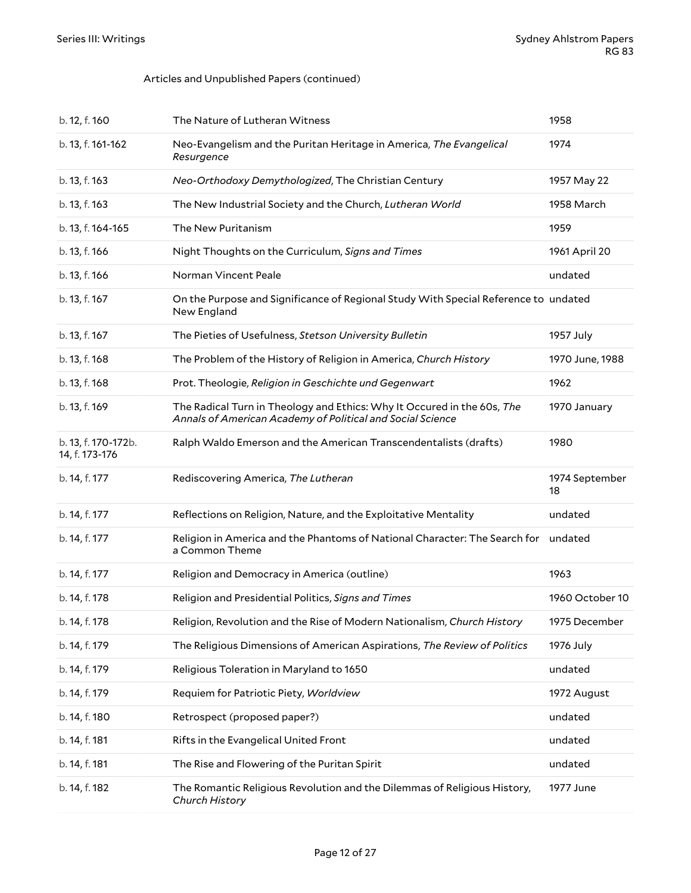#### Articles and Unpublished Papers (continued)

| b. 12, f. 160                         | The Nature of Lutheran Witness                                                                                                        | 1958                 |
|---------------------------------------|---------------------------------------------------------------------------------------------------------------------------------------|----------------------|
| b. 13, f. 161-162                     | Neo-Evangelism and the Puritan Heritage in America, The Evangelical<br>Resurgence                                                     | 1974                 |
| b. 13, f. 163                         | Neo-Orthodoxy Demythologized, The Christian Century                                                                                   | 1957 May 22          |
| b. 13, f. 163                         | The New Industrial Society and the Church, Lutheran World                                                                             | 1958 March           |
| b. 13, f. 164-165                     | The New Puritanism                                                                                                                    | 1959                 |
| b. 13, f. 166                         | Night Thoughts on the Curriculum, Signs and Times                                                                                     | 1961 April 20        |
| b. 13, f. 166                         | Norman Vincent Peale                                                                                                                  | undated              |
| b. 13, f. 167                         | On the Purpose and Significance of Regional Study With Special Reference to undated<br>New England                                    |                      |
| b. 13, f. 167                         | The Pieties of Usefulness, Stetson University Bulletin                                                                                | 1957 July            |
| b. 13, f. 168                         | The Problem of the History of Religion in America, Church History                                                                     | 1970 June, 1988      |
| b. 13, f. 168                         | Prot. Theologie, Religion in Geschichte und Gegenwart                                                                                 | 1962                 |
| b. 13, f. 169                         | The Radical Turn in Theology and Ethics: Why It Occured in the 60s, The<br>Annals of American Academy of Political and Social Science | 1970 January         |
| b. 13, f. 170-172b.<br>14, f. 173-176 | Ralph Waldo Emerson and the American Transcendentalists (drafts)                                                                      | 1980                 |
| b. 14, f. 177                         | Rediscovering America, The Lutheran                                                                                                   | 1974 September<br>18 |
| b. 14, f. 177                         | Reflections on Religion, Nature, and the Exploitative Mentality                                                                       | undated              |
| b. 14, f. 177                         | Religion in America and the Phantoms of National Character: The Search for<br>a Common Theme                                          | undated              |
| b. 14, f. 177                         | Religion and Democracy in America (outline)                                                                                           | 1963                 |
| b. 14, f. 178                         | Religion and Presidential Politics, Signs and Times                                                                                   | 1960 October 10      |
| b. 14, f. 178                         | Religion, Revolution and the Rise of Modern Nationalism, Church History                                                               | 1975 December        |
| b. 14, f. 179                         | The Religious Dimensions of American Aspirations, The Review of Politics                                                              | 1976 July            |
| b. 14, f. 179                         | Religious Toleration in Maryland to 1650                                                                                              | undated              |
| b. 14, f. 179                         | Requiem for Patriotic Piety, Worldview                                                                                                | 1972 August          |
| b. 14, f. 180                         | Retrospect (proposed paper?)                                                                                                          | undated              |
| b. 14, f. 181                         | Rifts in the Evangelical United Front                                                                                                 | undated              |
| b. 14, f. 181                         | The Rise and Flowering of the Puritan Spirit                                                                                          | undated              |
| b. 14, f. 182                         | The Romantic Religious Revolution and the Dilemmas of Religious History,<br>Church History                                            | 1977 June            |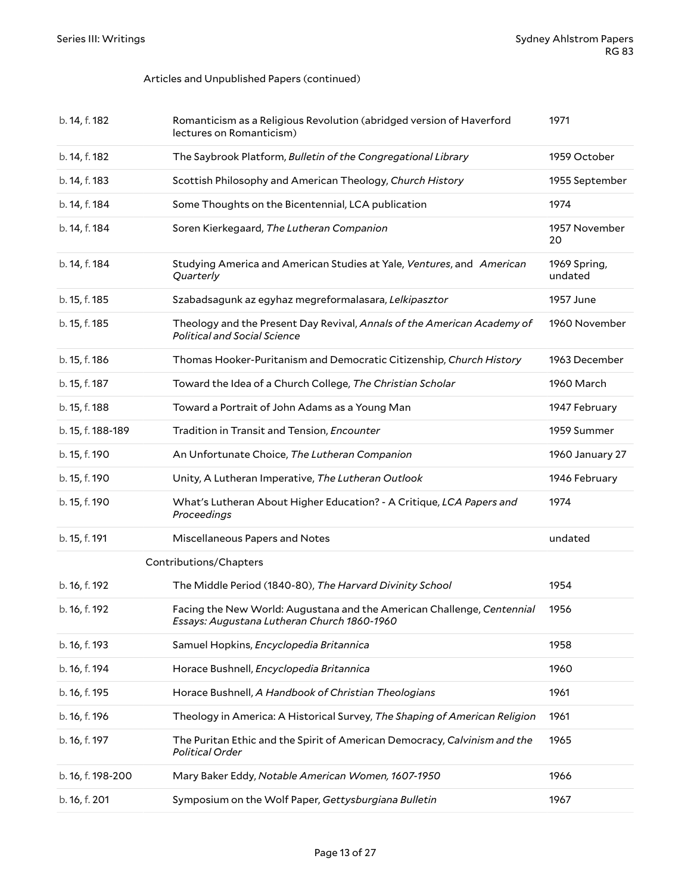#### Articles and Unpublished Papers (continued)

<span id="page-12-0"></span>

| b. 14, f. 182     | Romanticism as a Religious Revolution (abridged version of Haverford<br>lectures on Romanticism)                      | 1971                    |
|-------------------|-----------------------------------------------------------------------------------------------------------------------|-------------------------|
| b. 14, f. 182     | The Saybrook Platform, Bulletin of the Congregational Library                                                         | 1959 October            |
| b. 14, f. 183     | Scottish Philosophy and American Theology, Church History                                                             | 1955 September          |
| b. 14, f. 184     | Some Thoughts on the Bicentennial, LCA publication                                                                    | 1974                    |
| b. 14, f. 184     | Soren Kierkegaard, The Lutheran Companion                                                                             | 1957 November<br>20     |
| b. 14, f. 184     | Studying America and American Studies at Yale, Ventures, and American<br>Quarterly                                    | 1969 Spring,<br>undated |
| b. 15, f. 185     | Szabadsagunk az egyhaz megreformalasara, Lelkipasztor                                                                 | 1957 June               |
| b. 15, f. 185     | Theology and the Present Day Revival, Annals of the American Academy of<br><b>Political and Social Science</b>        | 1960 November           |
| b. 15, f. 186     | Thomas Hooker-Puritanism and Democratic Citizenship, Church History                                                   | 1963 December           |
| b. 15, f. 187     | Toward the Idea of a Church College, The Christian Scholar                                                            | 1960 March              |
| b. 15, f. 188     | Toward a Portrait of John Adams as a Young Man                                                                        | 1947 February           |
| b. 15, f. 188-189 | Tradition in Transit and Tension, Encounter                                                                           | 1959 Summer             |
| b. 15, f. 190     | An Unfortunate Choice, The Lutheran Companion                                                                         | 1960 January 27         |
| b. 15, f. 190     | Unity, A Lutheran Imperative, The Lutheran Outlook                                                                    | 1946 February           |
| b. 15, f. 190     | What's Lutheran About Higher Education? - A Critique, LCA Papers and<br>Proceedings                                   | 1974                    |
| b. 15, f. 191     | Miscellaneous Papers and Notes                                                                                        | undated                 |
|                   | Contributions/Chapters                                                                                                |                         |
| b. 16, f. 192     | The Middle Period (1840-80), The Harvard Divinity School                                                              | 1954                    |
| b. 16, f. 192     | Facing the New World: Augustana and the American Challenge, Centennial<br>Essays: Augustana Lutheran Church 1860-1960 | 1956                    |
| b. 16, f. 193     | Samuel Hopkins, Encyclopedia Britannica                                                                               | 1958                    |
| b. 16, f. 194     | Horace Bushnell, Encyclopedia Britannica                                                                              | 1960                    |
| b. 16, f. 195     | Horace Bushnell, A Handbook of Christian Theologians                                                                  | 1961                    |
| b. 16, f. 196     | Theology in America: A Historical Survey, The Shaping of American Religion                                            | 1961                    |
| b. 16, f. 197     | The Puritan Ethic and the Spirit of American Democracy, Calvinism and the<br>Political Order                          | 1965                    |
| b. 16, f. 198-200 | Mary Baker Eddy, Notable American Women, 1607-1950                                                                    | 1966                    |
| b. 16, f. 201     | Symposium on the Wolf Paper, Gettysburgiana Bulletin                                                                  | 1967                    |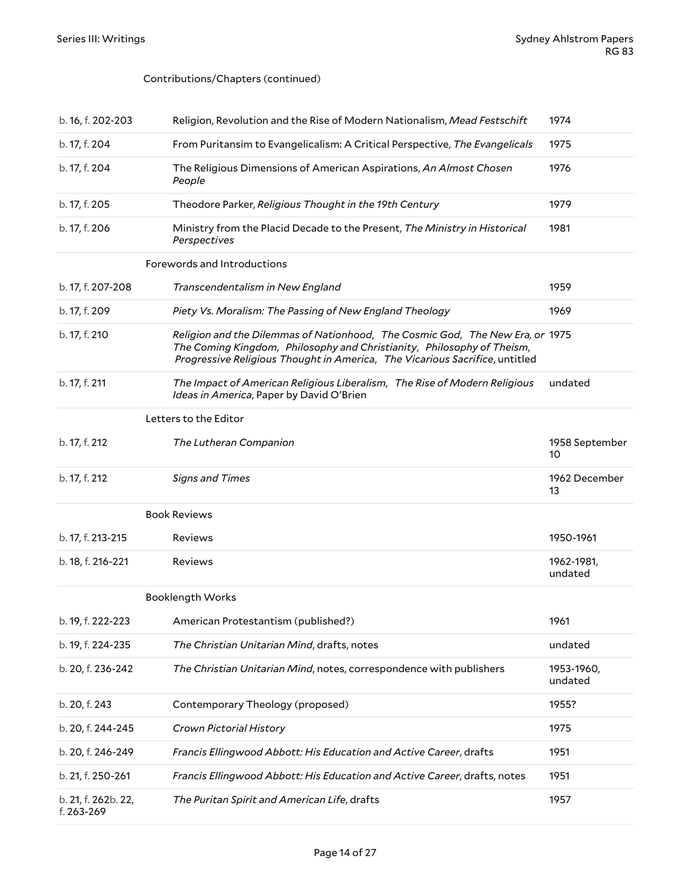#### Contributions/Chapters (continued)

<span id="page-13-3"></span><span id="page-13-2"></span><span id="page-13-1"></span><span id="page-13-0"></span>

| b. 16, f. 202-203 | Religion, Revolution and the Rise of Modern Nationalism, Mead Festschift                                                                                                                                                               | 1974                  |
|-------------------|----------------------------------------------------------------------------------------------------------------------------------------------------------------------------------------------------------------------------------------|-----------------------|
| b. 17, f. 204     | From Puritansim to Evangelicalism: A Critical Perspective, The Evangelicals                                                                                                                                                            | 1975                  |
| b. 17, f. 204     | The Religious Dimensions of American Aspirations, An Almost Chosen<br>People                                                                                                                                                           | 1976                  |
| b. 17, f. 205     | Theodore Parker, Religious Thought in the 19th Century                                                                                                                                                                                 | 1979                  |
| b. 17, f. 206     | Ministry from the Placid Decade to the Present, The Ministry in Historical<br>Perspectives                                                                                                                                             | 1981                  |
|                   | Forewords and Introductions                                                                                                                                                                                                            |                       |
| b. 17, f. 207-208 | Transcendentalism in New England                                                                                                                                                                                                       | 1959                  |
| b. 17, f. 209     | Piety Vs. Moralism: The Passing of New England Theology                                                                                                                                                                                | 1969                  |
| b. 17, f. 210     | Religion and the Dilemmas of Nationhood, The Cosmic God, The New Era, or 1975<br>The Coming Kingdom, Philosophy and Christianity, Philosophy of Theism,<br>Progressive Religious Thought in America, The Vicarious Sacrifice, untitled |                       |
| b. 17, f. 211     | The Impact of American Religious Liberalism, The Rise of Modern Religious<br>Ideas in America, Paper by David O'Brien                                                                                                                  | undated               |
|                   | Letters to the Editor                                                                                                                                                                                                                  |                       |
| b. 17, f. 212     | The Lutheran Companion                                                                                                                                                                                                                 | 1958 September<br>10  |
|                   |                                                                                                                                                                                                                                        |                       |
| b. 17, f. 212     | <b>Signs and Times</b>                                                                                                                                                                                                                 | 1962 December<br>13   |
|                   | <b>Book Reviews</b>                                                                                                                                                                                                                    |                       |
| b. 17, f. 213-215 | Reviews                                                                                                                                                                                                                                | 1950-1961             |
| b. 18, f. 216-221 | Reviews                                                                                                                                                                                                                                | 1962-1981,<br>undated |
|                   | <b>Booklength Works</b>                                                                                                                                                                                                                |                       |
| b. 19, f. 222-223 | American Protestantism (published?)                                                                                                                                                                                                    | 1961                  |
| b. 19, f. 224-235 | The Christian Unitarian Mind, drafts, notes                                                                                                                                                                                            | undated               |
| b. 20, f. 236-242 | The Christian Unitarian Mind, notes, correspondence with publishers                                                                                                                                                                    | 1953-1960,<br>undated |
| b. 20, f. 243     | Contemporary Theology (proposed)                                                                                                                                                                                                       | 1955?                 |
| b. 20, f. 244-245 | Crown Pictorial History                                                                                                                                                                                                                | 1975                  |
| b. 20, f. 246-249 | Francis Ellingwood Abbott: His Education and Active Career, drafts                                                                                                                                                                     | 1951                  |
| b. 21, f. 250-261 | Francis Ellingwood Abbott: His Education and Active Career, drafts, notes                                                                                                                                                              | 1951                  |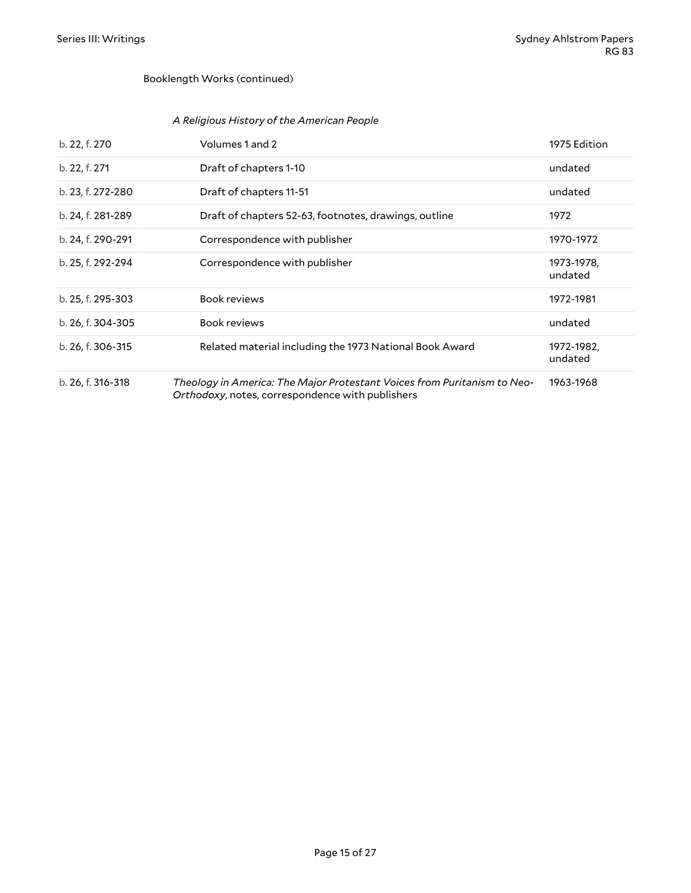#### Booklength Works (continued)

#### *A Religious History of the American People*

| b. 22, f. 270     | Volumes 1 and 2                                                                                                              | 1975 Edition          |
|-------------------|------------------------------------------------------------------------------------------------------------------------------|-----------------------|
| b. 22, f. 271     | Draft of chapters 1-10                                                                                                       | undated               |
| b. 23, f. 272-280 | Draft of chapters 11-51                                                                                                      | undated               |
| b. 24, f. 281-289 | Draft of chapters 52-63, footnotes, drawings, outline                                                                        | 1972                  |
| b. 24, f. 290-291 | Correspondence with publisher                                                                                                | 1970-1972             |
| b. 25, f. 292-294 | Correspondence with publisher                                                                                                | 1973-1978,<br>undated |
| b. 25, f. 295-303 | <b>Book reviews</b>                                                                                                          | 1972-1981             |
| b. 26, f. 304-305 | <b>Book reviews</b>                                                                                                          | undated               |
| b. 26, f. 306-315 | Related material including the 1973 National Book Award                                                                      | 1972-1982,<br>undated |
| b. 26, f. 316-318 | Theology in America: The Major Protestant Voices from Puritanism to Neo-<br>Orthodoxy, notes, correspondence with publishers | 1963-1968             |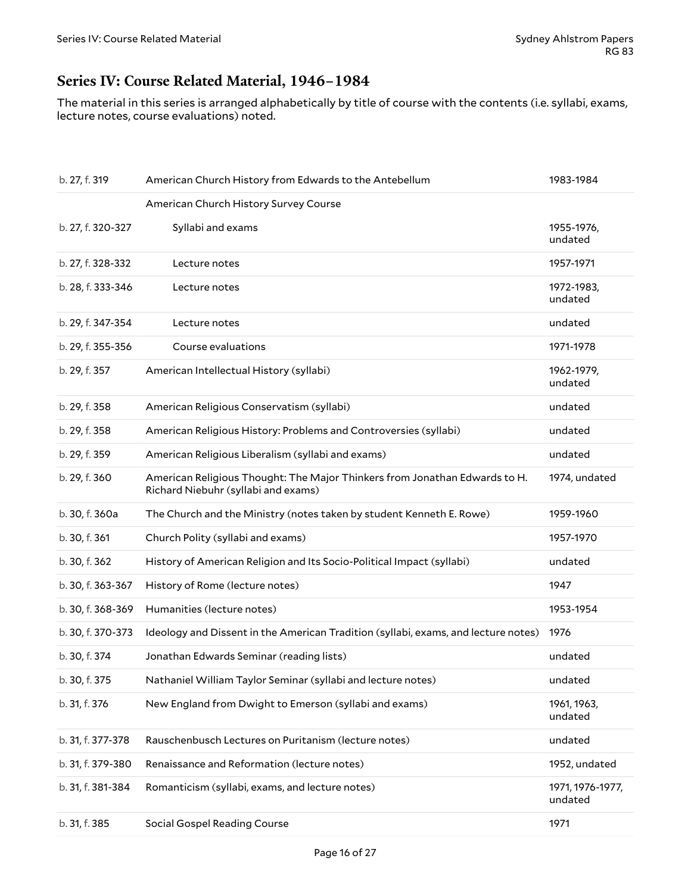# <span id="page-15-0"></span>**Series IV: Course Related Material, 1946–1984**

The material in this series is arranged alphabetically by title of course with the contents (i.e. syllabi, exams, lecture notes, course evaluations) noted.

| b. 27, f. 319     | American Church History from Edwards to the Antebellum                                                            | 1983-1984                   |
|-------------------|-------------------------------------------------------------------------------------------------------------------|-----------------------------|
|                   | American Church History Survey Course                                                                             |                             |
| b. 27, f. 320-327 | Syllabi and exams                                                                                                 | 1955-1976,<br>undated       |
| b. 27, f. 328-332 | Lecture notes                                                                                                     | 1957-1971                   |
| b. 28, f. 333-346 | Lecture notes                                                                                                     | 1972-1983,<br>undated       |
| b. 29, f. 347-354 | Lecture notes                                                                                                     | undated                     |
| b. 29, f. 355-356 | Course evaluations                                                                                                | 1971-1978                   |
| b. 29, f. 357     | American Intellectual History (syllabi)                                                                           | 1962-1979,<br>undated       |
| b. 29, f. 358     | American Religious Conservatism (syllabi)                                                                         | undated                     |
| b. 29, f. 358     | American Religious History: Problems and Controversies (syllabi)                                                  | undated                     |
| b. 29, f. 359     | American Religious Liberalism (syllabi and exams)                                                                 | undated                     |
| b. 29, f. 360     | American Religious Thought: The Major Thinkers from Jonathan Edwards to H.<br>Richard Niebuhr (syllabi and exams) | 1974, undated               |
| b. 30, f. 360a    | The Church and the Ministry (notes taken by student Kenneth E. Rowe)                                              | 1959-1960                   |
| b. 30, f. 361     | Church Polity (syllabi and exams)                                                                                 | 1957-1970                   |
| b. 30, f. 362     | History of American Religion and Its Socio-Political Impact (syllabi)                                             | undated                     |
| b. 30, f. 363-367 | History of Rome (lecture notes)                                                                                   | 1947                        |
| b. 30, f. 368-369 | Humanities (lecture notes)                                                                                        | 1953-1954                   |
| b. 30, f. 370-373 | Ideology and Dissent in the American Tradition (syllabi, exams, and lecture notes)                                | 1976                        |
| b. 30, f. 374     | Jonathan Edwards Seminar (reading lists)                                                                          | undated                     |
| b. 30, f. 375     | Nathaniel William Taylor Seminar (syllabi and lecture notes)                                                      | undated                     |
| b. 31, f. 376     | New England from Dwight to Emerson (syllabi and exams)                                                            | 1961, 1963,<br>undated      |
| b. 31, f. 377-378 | Rauschenbusch Lectures on Puritanism (lecture notes)                                                              | undated                     |
| b. 31, f. 379-380 | Renaissance and Reformation (lecture notes)                                                                       | 1952, undated               |
| b. 31, f. 381-384 | Romanticism (syllabi, exams, and lecture notes)                                                                   | 1971, 1976-1977,<br>undated |
| b. 31, f. 385     | <b>Social Gospel Reading Course</b>                                                                               | 1971                        |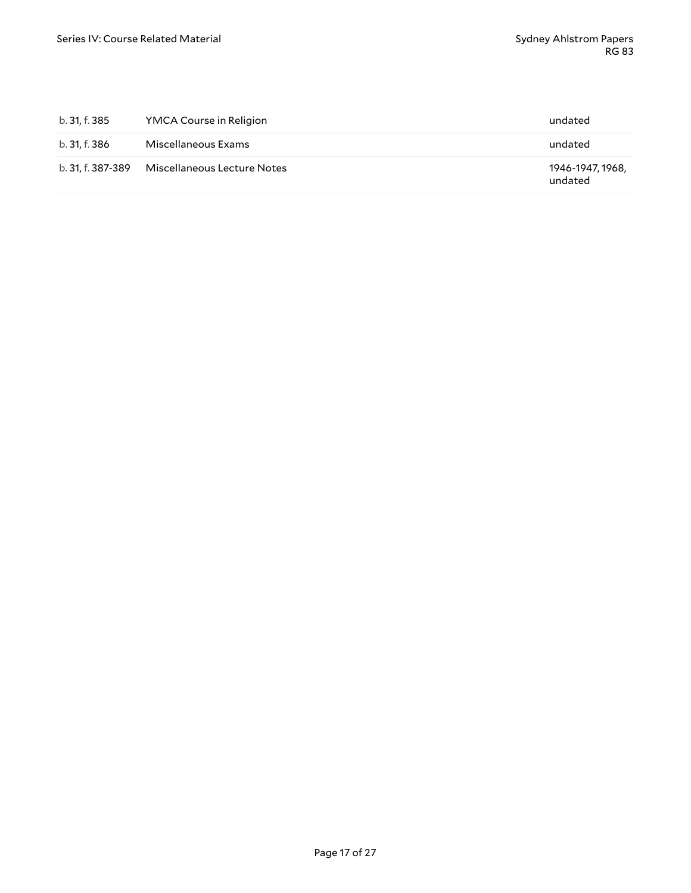| b. 31, f. 385     | YMCA Course in Religion     | undated                     |
|-------------------|-----------------------------|-----------------------------|
| b. 31, f. 386     | Miscellaneous Exams         | undated                     |
| b. 31, f. 387-389 | Miscellaneous Lecture Notes | 1946-1947, 1968,<br>undated |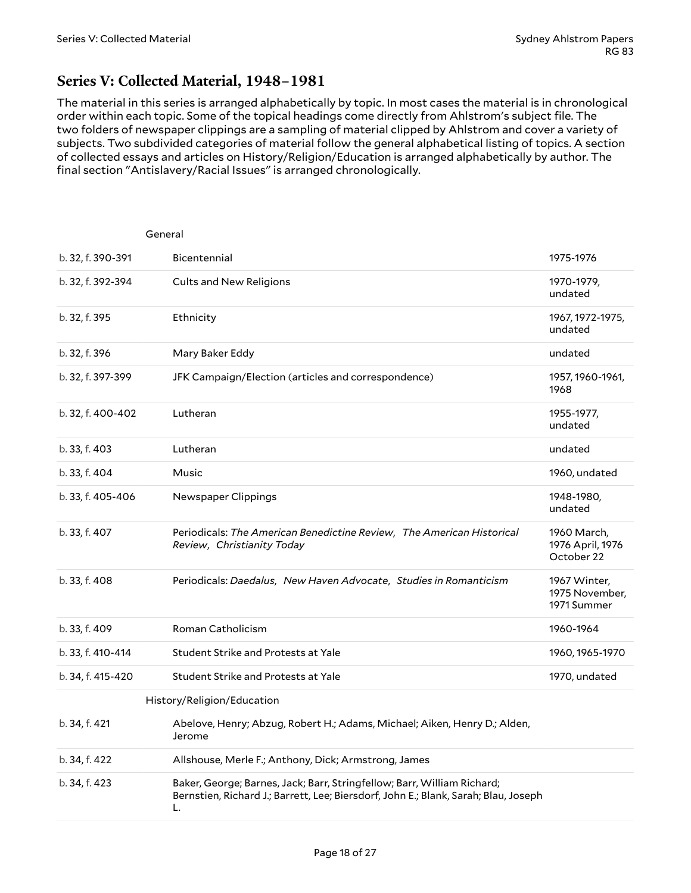# <span id="page-17-0"></span>**Series V: Collected Material, 1948–1981**

The material in this series is arranged alphabetically by topic. In most cases the material is in chronological order within each topic. Some of the topical headings come directly from Ahlstrom's subject file. The two folders of newspaper clippings are a sampling of material clipped by Ahlstrom and cover a variety of subjects. Two subdivided categories of material follow the general alphabetical listing of topics. A section of collected essays and articles on History/Religion/Education is arranged alphabetically by author. The final section "Antislavery/Racial Issues" is arranged chronologically.

<span id="page-17-2"></span><span id="page-17-1"></span>

| General           |                                                                                                                                                                      |                                               |
|-------------------|----------------------------------------------------------------------------------------------------------------------------------------------------------------------|-----------------------------------------------|
| b. 32, f. 390-391 | Bicentennial                                                                                                                                                         | 1975-1976                                     |
| b. 32, f. 392-394 | <b>Cults and New Religions</b>                                                                                                                                       | 1970-1979,<br>undated                         |
| b. 32, f. 395     | Ethnicity                                                                                                                                                            | 1967, 1972-1975,<br>undated                   |
| b. 32, f. 396     | Mary Baker Eddy                                                                                                                                                      | undated                                       |
| b. 32, f. 397-399 | JFK Campaign/Election (articles and correspondence)                                                                                                                  | 1957, 1960-1961,<br>1968                      |
| b. 32, f. 400-402 | Lutheran                                                                                                                                                             | 1955-1977,<br>undated                         |
| b. 33, f. 403     | Lutheran                                                                                                                                                             | undated                                       |
| b. 33, f. 404     | Music                                                                                                                                                                | 1960, undated                                 |
| b. 33, f. 405-406 | Newspaper Clippings                                                                                                                                                  | 1948-1980,<br>undated                         |
| b. 33, f. 407     | Periodicals: The American Benedictine Review, The American Historical<br>Review, Christianity Today                                                                  | 1960 March,<br>1976 April, 1976<br>October 22 |
| b. 33, f. 408     | Periodicals: Daedalus, New Haven Advocate, Studies in Romanticism                                                                                                    | 1967 Winter,<br>1975 November,<br>1971 Summer |
| b. 33, f. 409     | Roman Catholicism                                                                                                                                                    | 1960-1964                                     |
| b. 33, f. 410-414 | Student Strike and Protests at Yale                                                                                                                                  | 1960, 1965-1970                               |
| b. 34, f. 415-420 | Student Strike and Protests at Yale                                                                                                                                  | 1970, undated                                 |
|                   | History/Religion/Education                                                                                                                                           |                                               |
| b. 34, f. 421     | Abelove, Henry; Abzug, Robert H.; Adams, Michael; Aiken, Henry D.; Alden,<br>Jerome                                                                                  |                                               |
| b. 34, f. 422     | Allshouse, Merle F.; Anthony, Dick; Armstrong, James                                                                                                                 |                                               |
| b. 34, f. 423     | Baker, George; Barnes, Jack; Barr, Stringfellow; Barr, William Richard;<br>Bernstien, Richard J.; Barrett, Lee; Biersdorf, John E.; Blank, Sarah; Blau, Joseph<br>L. |                                               |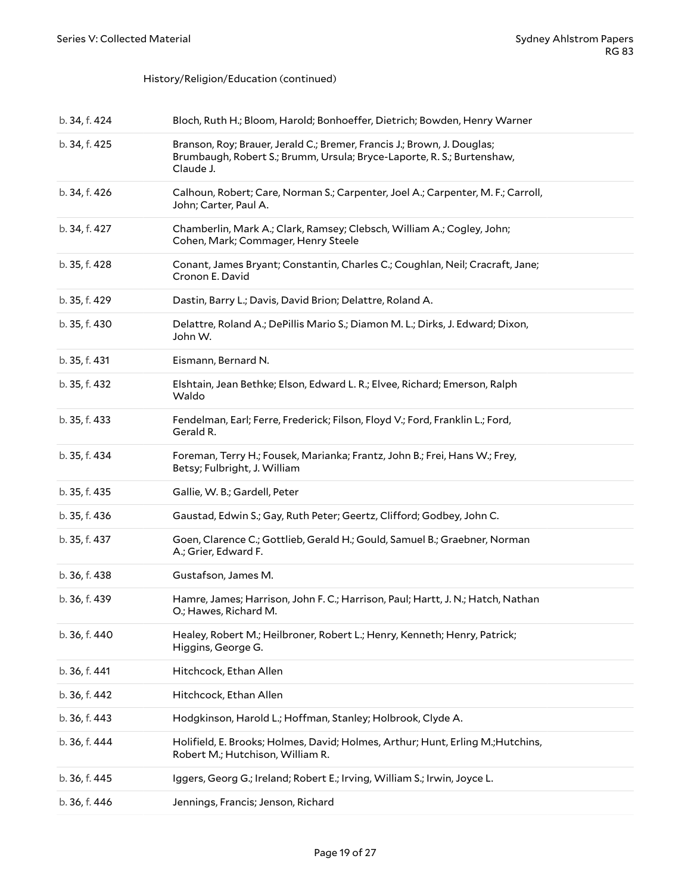#### History/Religion/Education (continued)

| b. 34, f. 424 | Bloch, Ruth H.; Bloom, Harold; Bonhoeffer, Dietrich; Bowden, Henry Warner                                                                                      |
|---------------|----------------------------------------------------------------------------------------------------------------------------------------------------------------|
| b. 34, f. 425 | Branson, Roy; Brauer, Jerald C.; Bremer, Francis J.; Brown, J. Douglas;<br>Brumbaugh, Robert S.; Brumm, Ursula; Bryce-Laporte, R. S.; Burtenshaw,<br>Claude J. |
| b. 34, f. 426 | Calhoun, Robert; Care, Norman S.; Carpenter, Joel A.; Carpenter, M. F.; Carroll,<br>John; Carter, Paul A.                                                      |
| b. 34, f. 427 | Chamberlin, Mark A.; Clark, Ramsey; Clebsch, William A.; Cogley, John;<br>Cohen, Mark; Commager, Henry Steele                                                  |
| b. 35, f. 428 | Conant, James Bryant; Constantin, Charles C.; Coughlan, Neil; Cracraft, Jane;<br>Cronon E. David                                                               |
| b. 35, f. 429 | Dastin, Barry L.; Davis, David Brion; Delattre, Roland A.                                                                                                      |
| b. 35, f. 430 | Delattre, Roland A.; DePillis Mario S.; Diamon M. L.; Dirks, J. Edward; Dixon,<br>John W.                                                                      |
| b. 35, f. 431 | Eismann, Bernard N.                                                                                                                                            |
| b. 35, f. 432 | Elshtain, Jean Bethke; Elson, Edward L. R.; Elvee, Richard; Emerson, Ralph<br>Waldo                                                                            |
| b. 35, f. 433 | Fendelman, Earl; Ferre, Frederick; Filson, Floyd V.; Ford, Franklin L.; Ford,<br>Gerald R.                                                                     |
| b. 35, f. 434 | Foreman, Terry H.; Fousek, Marianka; Frantz, John B.; Frei, Hans W.; Frey,<br>Betsy; Fulbright, J. William                                                     |
| b. 35, f. 435 | Gallie, W. B.; Gardell, Peter                                                                                                                                  |
| b. 35, f. 436 | Gaustad, Edwin S.; Gay, Ruth Peter; Geertz, Clifford; Godbey, John C.                                                                                          |
| b. 35, f. 437 | Goen, Clarence C.; Gottlieb, Gerald H.; Gould, Samuel B.; Graebner, Norman<br>A.; Grier, Edward F.                                                             |
| b. 36, f. 438 | Gustafson, James M.                                                                                                                                            |
| b. 36, f. 439 | Hamre, James; Harrison, John F. C.; Harrison, Paul; Hartt, J. N.; Hatch, Nathan<br>O.; Hawes, Richard M.                                                       |
| b. 36, f. 440 | Healey, Robert M.; Heilbroner, Robert L.; Henry, Kenneth; Henry, Patrick;<br>Higgins, George G.                                                                |
| b. 36, f. 441 | Hitchcock, Ethan Allen                                                                                                                                         |
| b. 36, f. 442 | Hitchcock, Ethan Allen                                                                                                                                         |
| b. 36, f. 443 | Hodgkinson, Harold L.; Hoffman, Stanley; Holbrook, Clyde A.                                                                                                    |
| b. 36, f. 444 | Holifield, E. Brooks; Holmes, David; Holmes, Arthur; Hunt, Erling M.; Hutchins,<br>Robert M.; Hutchison, William R.                                            |
| b. 36, f. 445 | Iggers, Georg G.; Ireland; Robert E.; Irving, William S.; Irwin, Joyce L.                                                                                      |
| b. 36, f. 446 | Jennings, Francis; Jenson, Richard                                                                                                                             |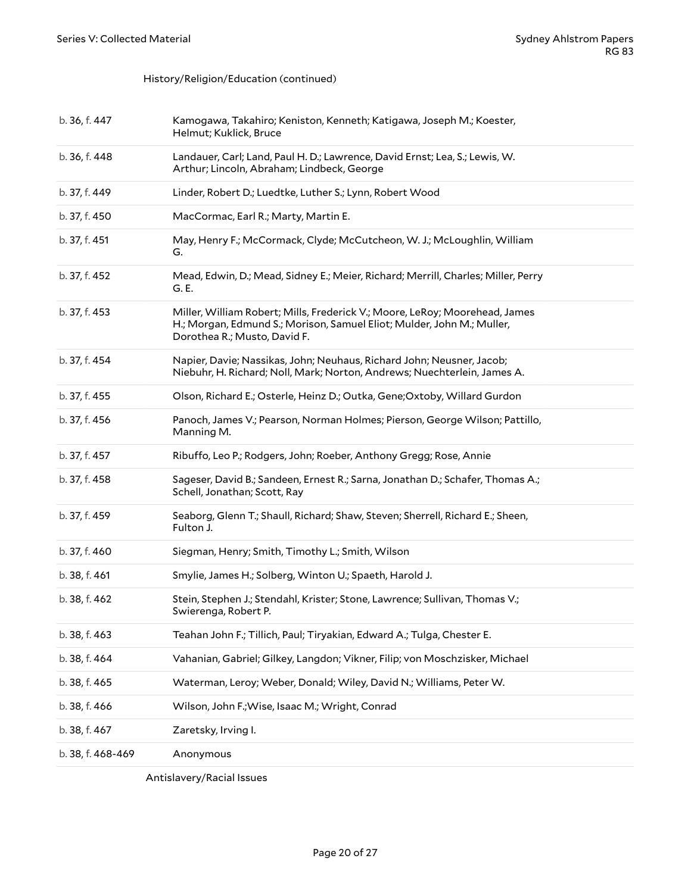#### History/Religion/Education (continued)

| b. 36, f. 447     | Kamogawa, Takahiro; Keniston, Kenneth; Katigawa, Joseph M.; Koester,<br>Helmut; Kuklick, Bruce                                                                                        |
|-------------------|---------------------------------------------------------------------------------------------------------------------------------------------------------------------------------------|
| b. 36, f. 448     | Landauer, Carl; Land, Paul H. D.; Lawrence, David Ernst; Lea, S.; Lewis, W.<br>Arthur; Lincoln, Abraham; Lindbeck, George                                                             |
| b. 37, f. 449     | Linder, Robert D.; Luedtke, Luther S.; Lynn, Robert Wood                                                                                                                              |
| b. 37, f. 450     | MacCormac, Earl R.; Marty, Martin E.                                                                                                                                                  |
| b. 37, f. 451     | May, Henry F.; McCormack, Clyde; McCutcheon, W. J.; McLoughlin, William<br>G.                                                                                                         |
| b. 37, f. 452     | Mead, Edwin, D.; Mead, Sidney E.; Meier, Richard; Merrill, Charles; Miller, Perry<br>G. E.                                                                                            |
| b. 37, f. 453     | Miller, William Robert; Mills, Frederick V.; Moore, LeRoy; Moorehead, James<br>H.; Morgan, Edmund S.; Morison, Samuel Eliot; Mulder, John M.; Muller,<br>Dorothea R.; Musto, David F. |
| b. 37, f. 454     | Napier, Davie; Nassikas, John; Neuhaus, Richard John; Neusner, Jacob;<br>Niebuhr, H. Richard; Noll, Mark; Norton, Andrews; Nuechterlein, James A.                                     |
| b. 37, f. 455     | Olson, Richard E.; Osterle, Heinz D.; Outka, Gene; Oxtoby, Willard Gurdon                                                                                                             |
| b. 37, f. 456     | Panoch, James V.; Pearson, Norman Holmes; Pierson, George Wilson; Pattillo,<br>Manning M.                                                                                             |
| b. 37, f. 457     | Ribuffo, Leo P.; Rodgers, John; Roeber, Anthony Gregg; Rose, Annie                                                                                                                    |
| b. 37, f. 458     | Sageser, David B.; Sandeen, Ernest R.; Sarna, Jonathan D.; Schafer, Thomas A.;<br>Schell, Jonathan; Scott, Ray                                                                        |
| b. 37, f. 459     | Seaborg, Glenn T.; Shaull, Richard; Shaw, Steven; Sherrell, Richard E.; Sheen,<br>Fulton J.                                                                                           |
| b. 37, f. 460     | Siegman, Henry; Smith, Timothy L.; Smith, Wilson                                                                                                                                      |
| b. 38, f. 461     | Smylie, James H.; Solberg, Winton U.; Spaeth, Harold J.                                                                                                                               |
| b. 38, f. 462     | Stein, Stephen J.; Stendahl, Krister; Stone, Lawrence; Sullivan, Thomas V.;<br>Swierenga, Robert P.                                                                                   |
| b. 38, f. 463     | Teahan John F.; Tillich, Paul; Tiryakian, Edward A.; Tulga, Chester E.                                                                                                                |
| b. 38, f. 464     | Vahanian, Gabriel; Gilkey, Langdon; Vikner, Filip; von Moschzisker, Michael                                                                                                           |
| b. 38, f. 465     | Waterman, Leroy; Weber, Donald; Wiley, David N.; Williams, Peter W.                                                                                                                   |
| b. 38, f. 466     | Wilson, John F.; Wise, Isaac M.; Wright, Conrad                                                                                                                                       |
| b. 38, f. 467     | Zaretsky, Irving I.                                                                                                                                                                   |
| b. 38, f. 468-469 | Anonymous                                                                                                                                                                             |
|                   |                                                                                                                                                                                       |

<span id="page-19-0"></span>Antislavery/Racial Issues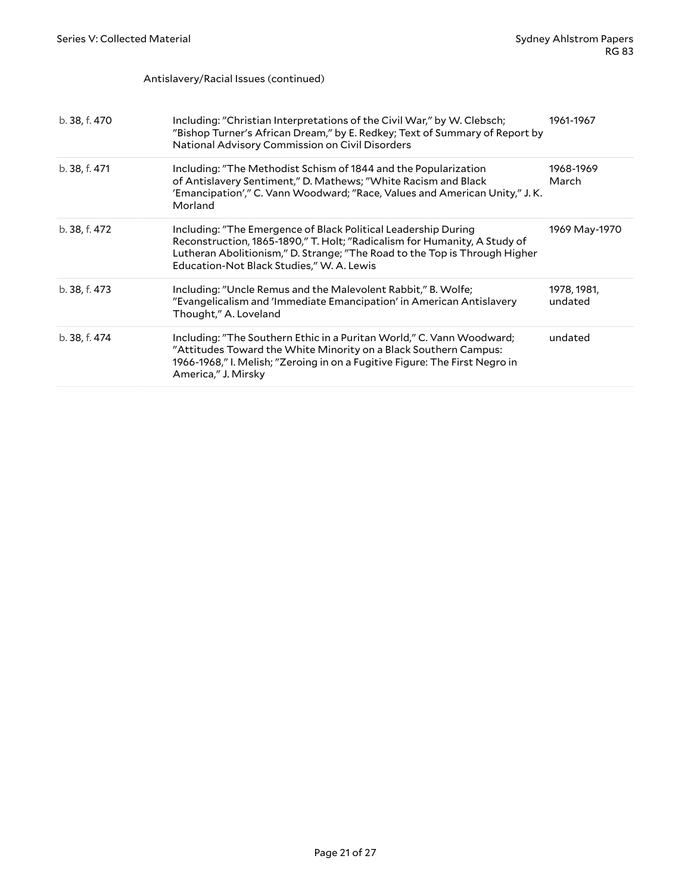Antislavery/Racial Issues (continued)

| b. 38, f. 470 | Including: "Christian Interpretations of the Civil War," by W. Clebsch;<br>"Bishop Turner's African Dream," by E. Redkey; Text of Summary of Report by<br>National Advisory Commission on Civil Disorders                                                              | 1961-1967              |
|---------------|------------------------------------------------------------------------------------------------------------------------------------------------------------------------------------------------------------------------------------------------------------------------|------------------------|
| b. 38, f. 471 | Including: "The Methodist Schism of 1844 and the Popularization<br>of Antislavery Sentiment," D. Mathews; "White Racism and Black<br>'Emancipation'," C. Vann Woodward; "Race, Values and American Unity," J. K.<br>Morland                                            | 1968-1969<br>March     |
| b. 38, f. 472 | Including: "The Emergence of Black Political Leadership During<br>Reconstruction, 1865-1890," T. Holt; "Radicalism for Humanity, A Study of<br>Lutheran Abolitionism," D. Strange; "The Road to the Top is Through Higher<br>Education-Not Black Studies," W. A. Lewis | 1969 May-1970          |
| b. 38, f. 473 | Including: "Uncle Remus and the Malevolent Rabbit," B. Wolfe;<br>"Evangelicalism and 'Immediate Emancipation' in American Antislavery<br>Thought," A. Loveland                                                                                                         | 1978, 1981,<br>undated |
| b. 38, f. 474 | Including: "The Southern Ethic in a Puritan World," C. Vann Woodward;<br>"Attitudes Toward the White Minority on a Black Southern Campus:<br>1966-1968," I. Melish; "Zeroing in on a Fugitive Figure: The First Negro in<br>America," J. Mirsky                        | undated                |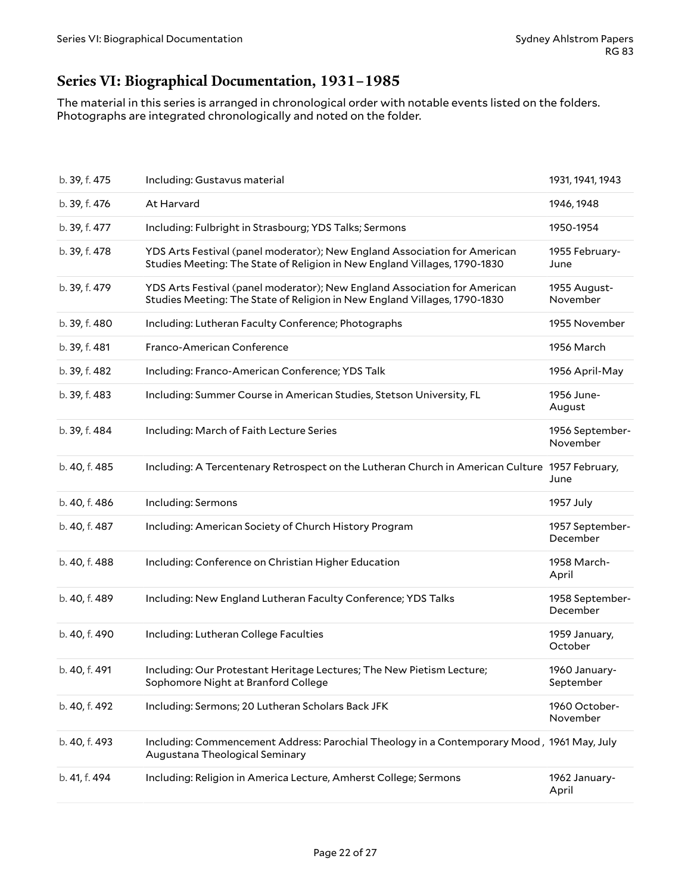# <span id="page-21-0"></span>**Series VI: Biographical Documentation, 1931–1985**

The material in this series is arranged in chronological order with notable events listed on the folders. Photographs are integrated chronologically and noted on the folder.

| b. 39, f. 475 | Including: Gustavus material                                                                                                                           | 1931, 1941, 1943            |
|---------------|--------------------------------------------------------------------------------------------------------------------------------------------------------|-----------------------------|
| b. 39, f. 476 | At Harvard                                                                                                                                             | 1946, 1948                  |
| b. 39, f. 477 | Including: Fulbright in Strasbourg; YDS Talks; Sermons                                                                                                 | 1950-1954                   |
| b. 39, f. 478 | YDS Arts Festival (panel moderator); New England Association for American<br>Studies Meeting: The State of Religion in New England Villages, 1790-1830 | 1955 February-<br>June      |
| b. 39, f. 479 | YDS Arts Festival (panel moderator); New England Association for American<br>Studies Meeting: The State of Religion in New England Villages, 1790-1830 | 1955 August-<br>November    |
| b. 39, f. 480 | Including: Lutheran Faculty Conference; Photographs                                                                                                    | 1955 November               |
| b. 39, f. 481 | Franco-American Conference                                                                                                                             | 1956 March                  |
| b. 39, f. 482 | Including: Franco-American Conference; YDS Talk                                                                                                        | 1956 April-May              |
| b. 39, f. 483 | Including: Summer Course in American Studies, Stetson University, FL                                                                                   | 1956 June-<br>August        |
| b. 39, f. 484 | Including: March of Faith Lecture Series                                                                                                               | 1956 September-<br>November |
| b. 40, f. 485 | Including: A Tercentenary Retrospect on the Lutheran Church in American Culture 1957 February,                                                         | June                        |
| b. 40, f. 486 | Including: Sermons                                                                                                                                     | 1957 July                   |
| b. 40, f. 487 | Including: American Society of Church History Program                                                                                                  | 1957 September-<br>December |
| b. 40, f. 488 | Including: Conference on Christian Higher Education                                                                                                    | 1958 March-<br>April        |
| b. 40, f. 489 | Including: New England Lutheran Faculty Conference; YDS Talks                                                                                          | 1958 September-<br>December |
| b. 40, f. 490 | Including: Lutheran College Faculties                                                                                                                  | 1959 January,<br>October    |
| b. 40, f. 491 | Including: Our Protestant Heritage Lectures; The New Pietism Lecture;<br>Sophomore Night at Branford College                                           | 1960 January-<br>September  |
| b. 40, f. 492 | Including: Sermons; 20 Lutheran Scholars Back JFK                                                                                                      | 1960 October-<br>November   |
| b. 40, f. 493 | Including: Commencement Address: Parochial Theology in a Contemporary Mood, 1961 May, July<br>Augustana Theological Seminary                           |                             |
| b. 41, f. 494 | Including: Religion in America Lecture, Amherst College; Sermons                                                                                       | 1962 January-<br>April      |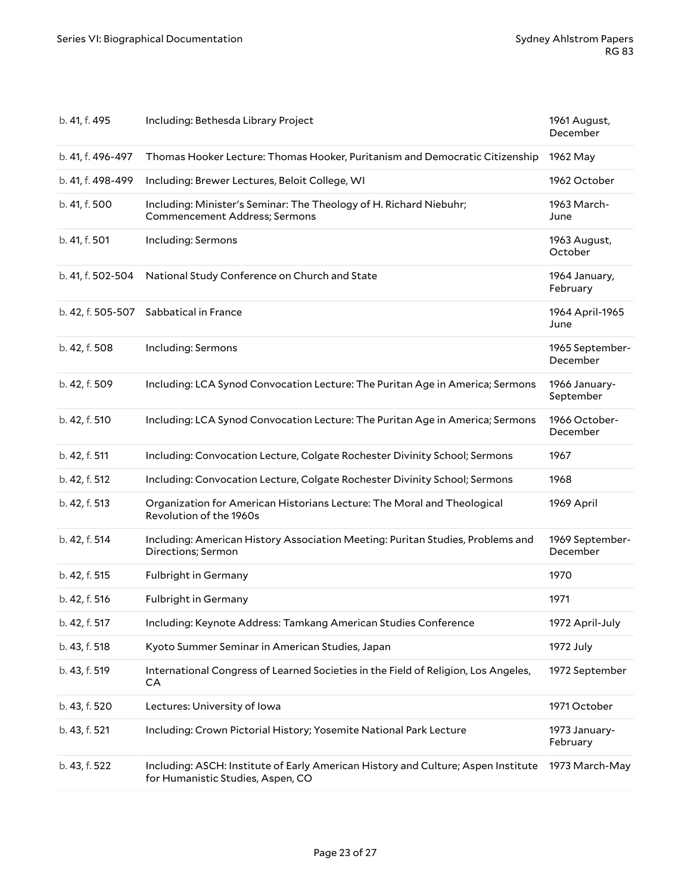| b. 41, f. 495     | Including: Bethesda Library Project                                                                                    | 1961 August,<br>December    |
|-------------------|------------------------------------------------------------------------------------------------------------------------|-----------------------------|
| b. 41, f. 496-497 | Thomas Hooker Lecture: Thomas Hooker, Puritanism and Democratic Citizenship                                            | 1962 May                    |
| b. 41, f. 498-499 | Including: Brewer Lectures, Beloit College, WI                                                                         | 1962 October                |
| b. 41, f. 500     | Including: Minister's Seminar: The Theology of H. Richard Niebuhr;<br><b>Commencement Address; Sermons</b>             | 1963 March-<br>June         |
| b. 41, f. 501     | Including: Sermons                                                                                                     | 1963 August,<br>October     |
| b. 41, f. 502-504 | National Study Conference on Church and State                                                                          | 1964 January,<br>February   |
|                   | b. 42, f. 505-507 Sabbatical in France                                                                                 | 1964 April-1965<br>June     |
| b. 42, f. 508     | Including: Sermons                                                                                                     | 1965 September-<br>December |
| b. 42, f. 509     | Including: LCA Synod Convocation Lecture: The Puritan Age in America; Sermons                                          | 1966 January-<br>September  |
| b. 42, f. 510     | Including: LCA Synod Convocation Lecture: The Puritan Age in America; Sermons                                          | 1966 October-<br>December   |
| b. 42, f. 511     | Including: Convocation Lecture, Colgate Rochester Divinity School; Sermons                                             | 1967                        |
| b. 42, f. 512     | Including: Convocation Lecture, Colgate Rochester Divinity School; Sermons                                             | 1968                        |
| b. 42, f. 513     | Organization for American Historians Lecture: The Moral and Theological<br>Revolution of the 1960s                     | 1969 April                  |
| b. 42, f. 514     | Including: American History Association Meeting: Puritan Studies, Problems and<br>Directions; Sermon                   | 1969 September-<br>December |
| b. 42, f. 515     | <b>Fulbright in Germany</b>                                                                                            | 1970                        |
| b. 42, f. 516     | <b>Fulbright in Germany</b>                                                                                            | 1971                        |
| b. 42, f. 517     | Including: Keynote Address: Tamkang American Studies Conference                                                        | 1972 April-July             |
| b. 43, f. 518     | Kyoto Summer Seminar in American Studies, Japan                                                                        | 1972 July                   |
| b. 43, f. 519     | International Congress of Learned Societies in the Field of Religion, Los Angeles,<br>CA                               | 1972 September              |
| b. 43, f. 520     | Lectures: University of Iowa                                                                                           | 1971 October                |
| b. 43, f. 521     | Including: Crown Pictorial History; Yosemite National Park Lecture                                                     | 1973 January-<br>February   |
| b. 43, f. 522     | Including: ASCH: Institute of Early American History and Culture; Aspen Institute<br>for Humanistic Studies, Aspen, CO | 1973 March-May              |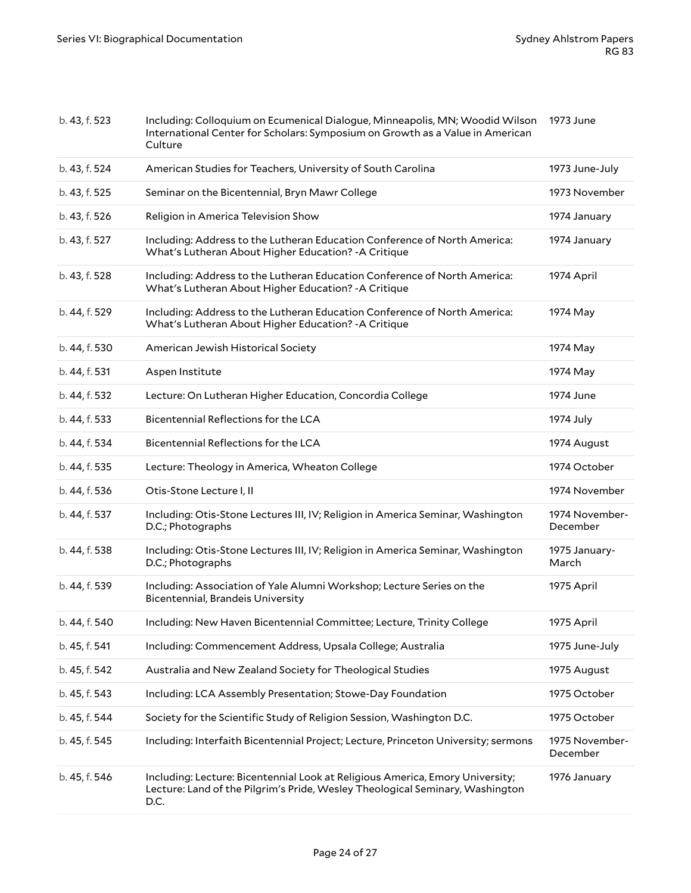| b. 43, f. 523 | Including: Colloquium on Ecumenical Dialogue, Minneapolis, MN; Woodid Wilson<br>International Center for Scholars: Symposium on Growth as a Value in American<br>Culture | 1973 June                  |
|---------------|--------------------------------------------------------------------------------------------------------------------------------------------------------------------------|----------------------------|
| b. 43, f. 524 | American Studies for Teachers, University of South Carolina                                                                                                              | 1973 June-July             |
| b. 43, f. 525 | Seminar on the Bicentennial, Bryn Mawr College                                                                                                                           | 1973 November              |
| b. 43, f. 526 | Religion in America Television Show                                                                                                                                      | 1974 January               |
| b. 43, f. 527 | Including: Address to the Lutheran Education Conference of North America:<br>What's Lutheran About Higher Education? - A Critique                                        | 1974 January               |
| b. 43, f. 528 | Including: Address to the Lutheran Education Conference of North America:<br>What's Lutheran About Higher Education? - A Critique                                        | 1974 April                 |
| b. 44, f. 529 | Including: Address to the Lutheran Education Conference of North America:<br>What's Lutheran About Higher Education? - A Critique                                        | 1974 May                   |
| b. 44, f. 530 | American Jewish Historical Society                                                                                                                                       | 1974 May                   |
| b. 44, f. 531 | Aspen Institute                                                                                                                                                          | 1974 May                   |
| b. 44, f. 532 | Lecture: On Lutheran Higher Education, Concordia College                                                                                                                 | 1974 June                  |
| b. 44, f. 533 | Bicentennial Reflections for the LCA                                                                                                                                     | 1974 July                  |
| b. 44, f. 534 | Bicentennial Reflections for the LCA                                                                                                                                     | 1974 August                |
| b. 44, f. 535 | Lecture: Theology in America, Wheaton College                                                                                                                            | 1974 October               |
| b. 44, f. 536 | Otis-Stone Lecture I, II                                                                                                                                                 | 1974 November              |
| b. 44, f. 537 | Including: Otis-Stone Lectures III, IV; Religion in America Seminar, Washington<br>D.C.; Photographs                                                                     | 1974 November-<br>December |
| b. 44, f. 538 | Including: Otis-Stone Lectures III, IV; Religion in America Seminar, Washington<br>D.C.; Photographs                                                                     | 1975 January-<br>March     |
| b. 44, f. 539 | Including: Association of Yale Alumni Workshop; Lecture Series on the<br><b>Bicentennial, Brandeis University</b>                                                        | 1975 April                 |
| b. 44, f. 540 | Including: New Haven Bicentennial Committee; Lecture, Trinity College                                                                                                    | 1975 April                 |
| b. 45, f. 541 | Including: Commencement Address, Upsala College; Australia                                                                                                               | 1975 June-July             |
| b. 45, f. 542 | Australia and New Zealand Society for Theological Studies                                                                                                                | 1975 August                |
| b. 45, f. 543 | Including: LCA Assembly Presentation; Stowe-Day Foundation                                                                                                               | 1975 October               |
| b. 45, f. 544 | Society for the Scientific Study of Religion Session, Washington D.C.                                                                                                    | 1975 October               |
| b. 45, f. 545 | Including: Interfaith Bicentennial Project; Lecture, Princeton University; sermons                                                                                       | 1975 November-<br>December |
| b. 45, f. 546 | Including: Lecture: Bicentennial Look at Religious America, Emory University;<br>Lecture: Land of the Pilgrim's Pride, Wesley Theological Seminary, Washington<br>D.C.   | 1976 January               |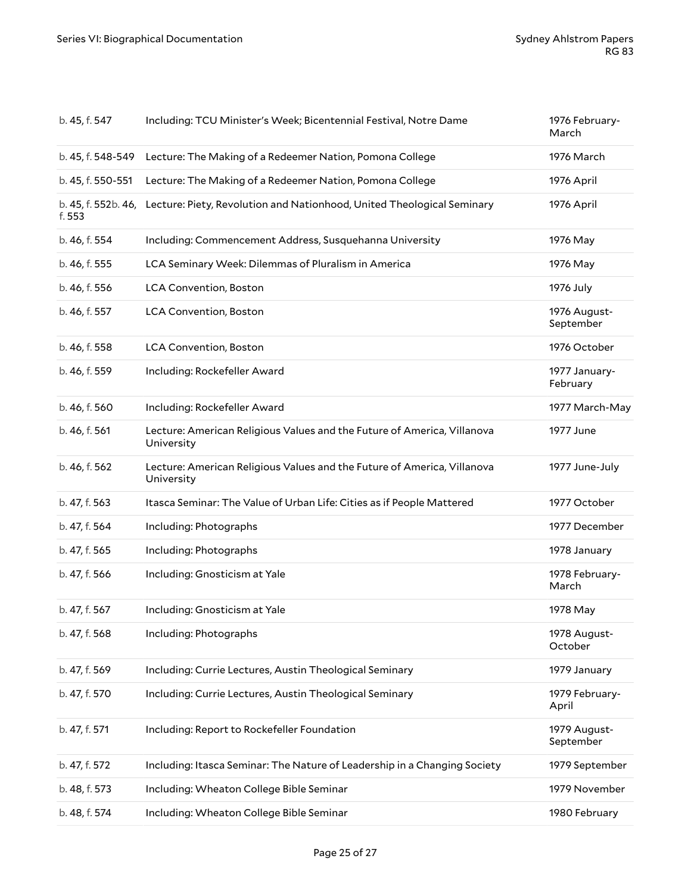| b. 45, f. 547                 | Including: TCU Minister's Week; Bicentennial Festival, Notre Dame                     | 1976 February-<br>March   |
|-------------------------------|---------------------------------------------------------------------------------------|---------------------------|
| b. 45, f. 548-549             | Lecture: The Making of a Redeemer Nation, Pomona College                              | 1976 March                |
| b. 45, f. 550-551             | Lecture: The Making of a Redeemer Nation, Pomona College                              | 1976 April                |
| b. 45, f. 552b. 46,<br>f. 553 | Lecture: Piety, Revolution and Nationhood, United Theological Seminary                | 1976 April                |
| b. 46, f. 554                 | Including: Commencement Address, Susquehanna University                               | 1976 May                  |
| b. 46, f. 555                 | LCA Seminary Week: Dilemmas of Pluralism in America                                   | 1976 May                  |
| b. 46, f. 556                 | <b>LCA Convention, Boston</b>                                                         | 1976 July                 |
| b. 46, f. 557                 | <b>LCA Convention, Boston</b>                                                         | 1976 August-<br>September |
| b. 46, f. 558                 | <b>LCA Convention, Boston</b>                                                         | 1976 October              |
| b. 46, f. 559                 | Including: Rockefeller Award                                                          | 1977 January-<br>February |
| b. 46, f. 560                 | Including: Rockefeller Award                                                          | 1977 March-May            |
| b. 46, f. 561                 | Lecture: American Religious Values and the Future of America, Villanova<br>University | 1977 June                 |
| b. 46, f. 562                 | Lecture: American Religious Values and the Future of America, Villanova<br>University | 1977 June-July            |
| b. 47, f. 563                 | Itasca Seminar: The Value of Urban Life: Cities as if People Mattered                 | 1977 October              |
| b. 47, f. 564                 | Including: Photographs                                                                | 1977 December             |
| b. 47, f. 565                 | Including: Photographs                                                                | 1978 January              |
| b. 47, f. 566                 | Including: Gnosticism at Yale                                                         | 1978 February-<br>March   |
| b. 47, f. 567                 | Including: Gnosticism at Yale                                                         | 1978 May                  |
| b. 47, f. 568                 | Including: Photographs                                                                | 1978 August-<br>October   |
| b. 47, f. 569                 | Including: Currie Lectures, Austin Theological Seminary                               | 1979 January              |
| b. 47, f. 570                 | Including: Currie Lectures, Austin Theological Seminary                               | 1979 February-<br>April   |
| b. 47, f. 571                 | Including: Report to Rockefeller Foundation                                           | 1979 August-<br>September |
| b. 47, f. 572                 | Including: Itasca Seminar: The Nature of Leadership in a Changing Society             | 1979 September            |
| b. 48, f. 573                 | Including: Wheaton College Bible Seminar                                              | 1979 November             |
| b. 48, f. 574                 | Including: Wheaton College Bible Seminar                                              | 1980 February             |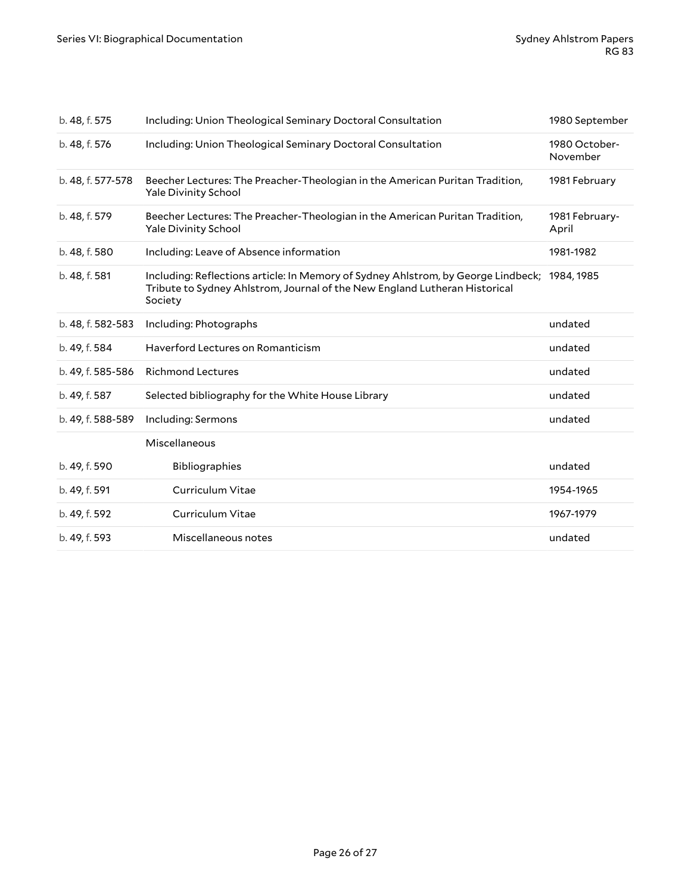| b. 48, f. 575     | Including: Union Theological Seminary Doctoral Consultation                                                                                                                           | 1980 September            |
|-------------------|---------------------------------------------------------------------------------------------------------------------------------------------------------------------------------------|---------------------------|
| b. 48, f. 576     | Including: Union Theological Seminary Doctoral Consultation                                                                                                                           | 1980 October-<br>November |
| b. 48, f. 577-578 | Beecher Lectures: The Preacher-Theologian in the American Puritan Tradition,<br><b>Yale Divinity School</b>                                                                           | 1981 February             |
| b. 48, f. 579     | Beecher Lectures: The Preacher-Theologian in the American Puritan Tradition,<br><b>Yale Divinity School</b>                                                                           | 1981 February-<br>April   |
| b. 48, f. 580     | Including: Leave of Absence information                                                                                                                                               | 1981-1982                 |
| b. 48, f. 581     | Including: Reflections article: In Memory of Sydney Ahlstrom, by George Lindbeck; 1984, 1985<br>Tribute to Sydney Ahlstrom, Journal of the New England Lutheran Historical<br>Society |                           |
| b. 48, f. 582-583 | Including: Photographs                                                                                                                                                                | undated                   |
| b. 49, f. 584     | Haverford Lectures on Romanticism                                                                                                                                                     | undated                   |
| b. 49, f. 585-586 | <b>Richmond Lectures</b>                                                                                                                                                              | undated                   |
| b. 49, f. 587     | Selected bibliography for the White House Library                                                                                                                                     | undated                   |
| b. 49, f. 588-589 | Including: Sermons                                                                                                                                                                    | undated                   |
|                   | Miscellaneous                                                                                                                                                                         |                           |
| b. 49, f. 590     | Bibliographies                                                                                                                                                                        | undated                   |
| b. 49, f. 591     | Curriculum Vitae                                                                                                                                                                      | 1954-1965                 |
| b. 49, f. 592     | Curriculum Vitae                                                                                                                                                                      | 1967-1979                 |
| b. 49, f. 593     | Miscellaneous notes                                                                                                                                                                   | undated                   |